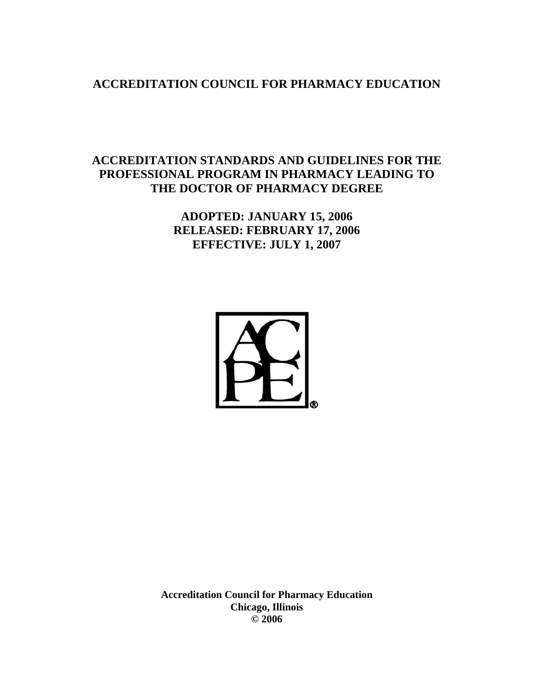# **ACCREDITATION COUNCIL FOR PHARMACY EDUCATION**

# **ACCREDITATION STANDARDS AND GUIDELINES FOR THE PROFESSIONAL PROGRAM IN PHARMACY LEADING TO THE DOCTOR OF PHARMACY DEGREE**

**ADOPTED: JANUARY 15, 2006 RELEASED: FEBRUARY 17, 2006 EFFECTIVE: JULY 1, 2007** 



**Accreditation Council for Pharmacy Education Chicago, Illinois © 2006**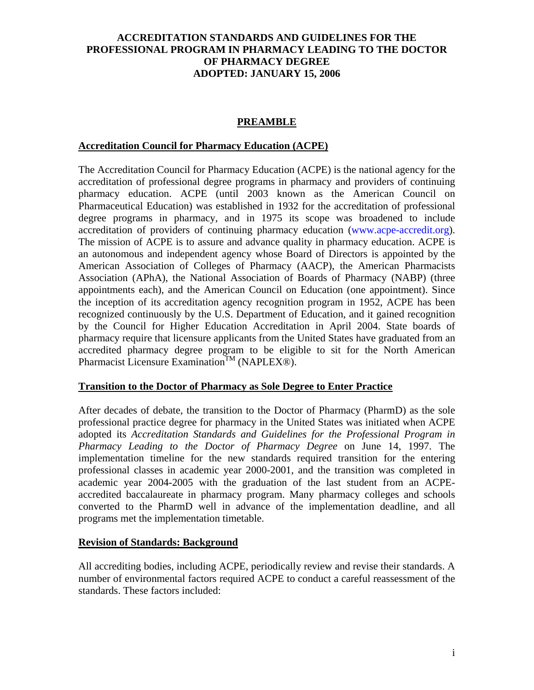## **PREAMBLE**

### **Accreditation Council for Pharmacy Education (ACPE)**

The Accreditation Council for Pharmacy Education (ACPE) is the national agency for the accreditation of professional degree programs in pharmacy and providers of continuing pharmacy education. ACPE (until 2003 known as the American Council on Pharmaceutical Education) was established in 1932 for the accreditation of professional degree programs in pharmacy, and in 1975 its scope was broadened to include accreditation of providers of continuing pharmacy education (www.acpe-accredit.org). The mission of ACPE is to assure and advance quality in pharmacy education. ACPE is an autonomous and independent agency whose Board of Directors is appointed by the American Association of Colleges of Pharmacy (AACP), the American Pharmacists Association (APhA), the National Association of Boards of Pharmacy (NABP) (three appointments each), and the American Council on Education (one appointment). Since the inception of its accreditation agency recognition program in 1952, ACPE has been recognized continuously by the U.S. Department of Education, and it gained recognition by the Council for Higher Education Accreditation in April 2004. State boards of pharmacy require that licensure applicants from the United States have graduated from an accredited pharmacy degree program to be eligible to sit for the North American Pharmacist Licensure Examination<sup>TM</sup> (NAPLEX®).

### **Transition to the Doctor of Pharmacy as Sole Degree to Enter Practice**

After decades of debate, the transition to the Doctor of Pharmacy (PharmD) as the sole professional practice degree for pharmacy in the United States was initiated when ACPE adopted its *Accreditation Standards and Guidelines for the Professional Program in Pharmacy Leading to the Doctor of Pharmacy Degree* on June 14, 1997. The implementation timeline for the new standards required transition for the entering professional classes in academic year 2000-2001, and the transition was completed in academic year 2004-2005 with the graduation of the last student from an ACPEaccredited baccalaureate in pharmacy program. Many pharmacy colleges and schools converted to the PharmD well in advance of the implementation deadline, and all programs met the implementation timetable.

## **Revision of Standards: Background**

All accrediting bodies, including ACPE, periodically review and revise their standards. A number of environmental factors required ACPE to conduct a careful reassessment of the standards. These factors included: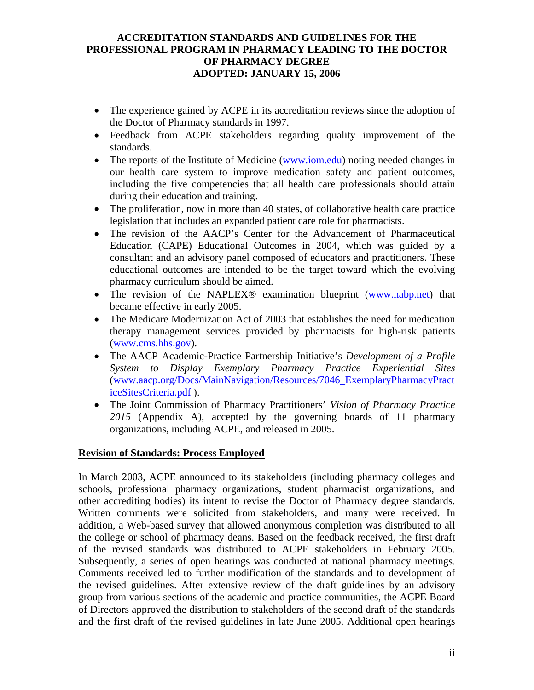- The experience gained by ACPE in its accreditation reviews since the adoption of the Doctor of Pharmacy standards in 1997.
- Feedback from ACPE stakeholders regarding quality improvement of the standards.
- The reports of the Institute of Medicine (www.iom.edu) noting needed changes in our health care system to improve medication safety and patient outcomes, including the five competencies that all health care professionals should attain during their education and training.
- The proliferation, now in more than 40 states, of collaborative health care practice legislation that includes an expanded patient care role for pharmacists.
- The revision of the AACP's Center for the Advancement of Pharmaceutical Education (CAPE) Educational Outcomes in 2004, which was guided by a consultant and an advisory panel composed of educators and practitioners. These educational outcomes are intended to be the target toward which the evolving pharmacy curriculum should be aimed.
- The revision of the NAPLEX<sup>®</sup> examination blueprint (www.nabp.net) that became effective in early 2005.
- The Medicare Modernization Act of 2003 that establishes the need for medication therapy management services provided by pharmacists for high-risk patients (www.cms.hhs.gov).
- The AACP Academic-Practice Partnership Initiative's *Development of a Profile System to Display Exemplary Pharmacy Practice Experiential Sites*  (www.aacp.org/Docs/MainNavigation/Resources/7046\_ExemplaryPharmacyPract iceSitesCriteria.pdf ).
- The Joint Commission of Pharmacy Practitioners' *Vision of Pharmacy Practice 2015* (Appendix A), accepted by the governing boards of 11 pharmacy organizations, including ACPE, and released in 2005.

## **Revision of Standards: Process Employed**

In March 2003, ACPE announced to its stakeholders (including pharmacy colleges and schools, professional pharmacy organizations, student pharmacist organizations, and other accrediting bodies) its intent to revise the Doctor of Pharmacy degree standards. Written comments were solicited from stakeholders, and many were received. In addition, a Web-based survey that allowed anonymous completion was distributed to all the college or school of pharmacy deans. Based on the feedback received, the first draft of the revised standards was distributed to ACPE stakeholders in February 2005. Subsequently, a series of open hearings was conducted at national pharmacy meetings. Comments received led to further modification of the standards and to development of the revised guidelines. After extensive review of the draft guidelines by an advisory group from various sections of the academic and practice communities, the ACPE Board of Directors approved the distribution to stakeholders of the second draft of the standards and the first draft of the revised guidelines in late June 2005. Additional open hearings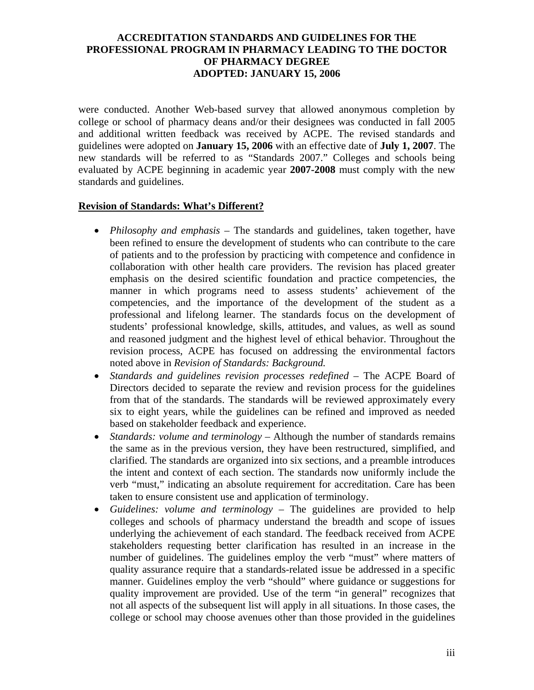were conducted. Another Web-based survey that allowed anonymous completion by college or school of pharmacy deans and/or their designees was conducted in fall 2005 and additional written feedback was received by ACPE. The revised standards and guidelines were adopted on **January 15, 2006** with an effective date of **July 1, 2007**. The new standards will be referred to as "Standards 2007." Colleges and schools being evaluated by ACPE beginning in academic year **2007-2008** must comply with the new standards and guidelines.

#### **Revision of Standards: What's Different?**

- *Philosophy and emphasis* The standards and guidelines, taken together, have been refined to ensure the development of students who can contribute to the care of patients and to the profession by practicing with competence and confidence in collaboration with other health care providers. The revision has placed greater emphasis on the desired scientific foundation and practice competencies, the manner in which programs need to assess students' achievement of the competencies, and the importance of the development of the student as a professional and lifelong learner. The standards focus on the development of students' professional knowledge, skills, attitudes, and values, as well as sound and reasoned judgment and the highest level of ethical behavior. Throughout the revision process, ACPE has focused on addressing the environmental factors noted above in *Revision of Standards: Background.*
- *Standards and guidelines revision processes redefined* The ACPE Board of Directors decided to separate the review and revision process for the guidelines from that of the standards. The standards will be reviewed approximately every six to eight years, while the guidelines can be refined and improved as needed based on stakeholder feedback and experience.
- *Standards: volume and terminology* Although the number of standards remains the same as in the previous version, they have been restructured, simplified, and clarified. The standards are organized into six sections, and a preamble introduces the intent and context of each section. The standards now uniformly include the verb "must," indicating an absolute requirement for accreditation. Care has been taken to ensure consistent use and application of terminology.
- *Guidelines: volume and terminology* The guidelines are provided to help colleges and schools of pharmacy understand the breadth and scope of issues underlying the achievement of each standard. The feedback received from ACPE stakeholders requesting better clarification has resulted in an increase in the number of guidelines. The guidelines employ the verb "must" where matters of quality assurance require that a standards-related issue be addressed in a specific manner. Guidelines employ the verb "should" where guidance or suggestions for quality improvement are provided. Use of the term "in general" recognizes that not all aspects of the subsequent list will apply in all situations. In those cases, the college or school may choose avenues other than those provided in the guidelines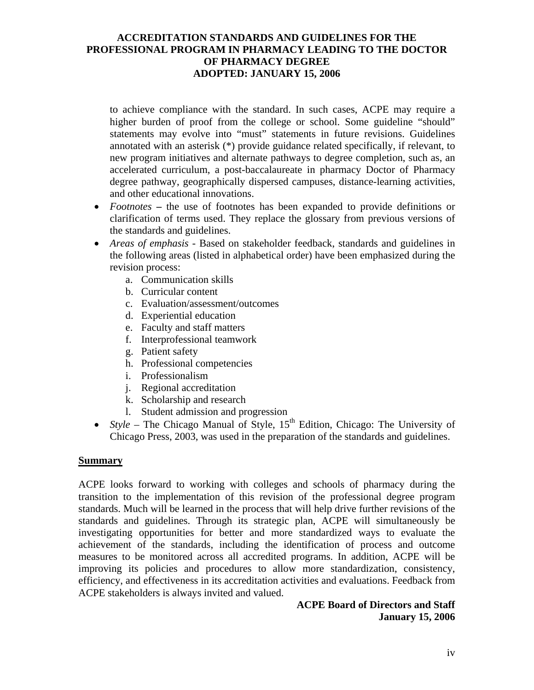to achieve compliance with the standard. In such cases, ACPE may require a higher burden of proof from the college or school. Some guideline "should" statements may evolve into "must" statements in future revisions. Guidelines annotated with an asterisk (\*) provide guidance related specifically, if relevant, to new program initiatives and alternate pathways to degree completion, such as, an accelerated curriculum, a post-baccalaureate in pharmacy Doctor of Pharmacy degree pathway, geographically dispersed campuses, distance-learning activities, and other educational innovations.

- *Footnotes*the use of footnotes has been expanded to provide definitions or clarification of terms used. They replace the glossary from previous versions of the standards and guidelines.
- *Areas of emphasis* Based on stakeholder feedback, standards and guidelines in the following areas (listed in alphabetical order) have been emphasized during the revision process:
	- a. Communication skills
	- b. Curricular content
	- c. Evaluation/assessment/outcomes
	- d. Experiential education
	- e. Faculty and staff matters
	- f. Interprofessional teamwork
	- g. Patient safety
	- h. Professional competencies
	- i. Professionalism
	- j. Regional accreditation
	- k. Scholarship and research
	- l. Student admission and progression
- *Style –* The Chicago Manual of Style,  $15<sup>th</sup>$  Edition, Chicago: The University of Chicago Press, 2003, was used in the preparation of the standards and guidelines.

#### **Summary**

ACPE looks forward to working with colleges and schools of pharmacy during the transition to the implementation of this revision of the professional degree program standards. Much will be learned in the process that will help drive further revisions of the standards and guidelines. Through its strategic plan, ACPE will simultaneously be investigating opportunities for better and more standardized ways to evaluate the achievement of the standards, including the identification of process and outcome measures to be monitored across all accredited programs. In addition, ACPE will be improving its policies and procedures to allow more standardization, consistency, efficiency, and effectiveness in its accreditation activities and evaluations. Feedback from ACPE stakeholders is always invited and valued.

### **ACPE Board of Directors and Staff January 15, 2006**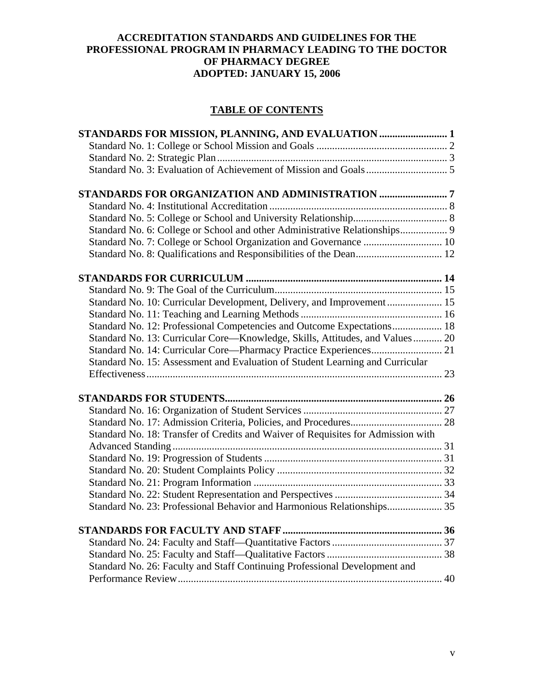## **TABLE OF CONTENTS**

| Standard No. 7: College or School Organization and Governance  10                |  |
|----------------------------------------------------------------------------------|--|
|                                                                                  |  |
|                                                                                  |  |
|                                                                                  |  |
| Standard No. 10: Curricular Development, Delivery, and Improvement 15            |  |
|                                                                                  |  |
| Standard No. 12: Professional Competencies and Outcome Expectations 18           |  |
| Standard No. 13: Curricular Core—Knowledge, Skills, Attitudes, and Values 20     |  |
|                                                                                  |  |
| Standard No. 15: Assessment and Evaluation of Student Learning and Curricular    |  |
|                                                                                  |  |
|                                                                                  |  |
|                                                                                  |  |
|                                                                                  |  |
| Standard No. 18: Transfer of Credits and Waiver of Requisites for Admission with |  |
|                                                                                  |  |
|                                                                                  |  |
|                                                                                  |  |
|                                                                                  |  |
|                                                                                  |  |
| Standard No. 23: Professional Behavior and Harmonious Relationships 35           |  |
|                                                                                  |  |
|                                                                                  |  |
|                                                                                  |  |
| Standard No. 26: Faculty and Staff Continuing Professional Development and       |  |
|                                                                                  |  |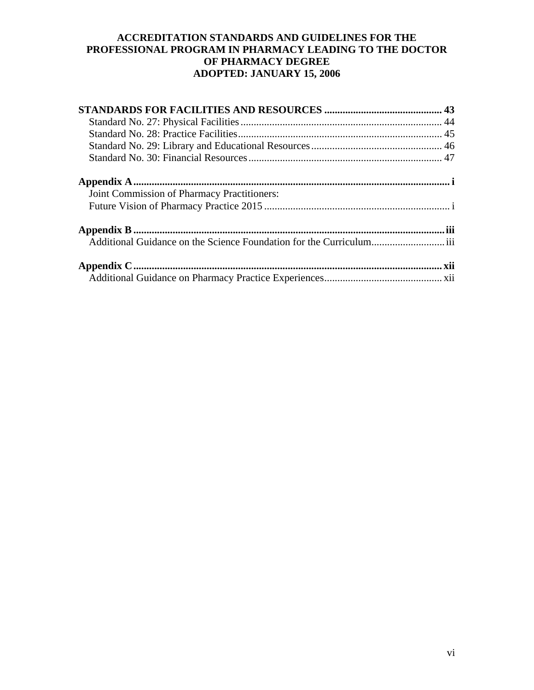| Joint Commission of Pharmacy Practitioners: |  |
|---------------------------------------------|--|
|                                             |  |
|                                             |  |
|                                             |  |
|                                             |  |
|                                             |  |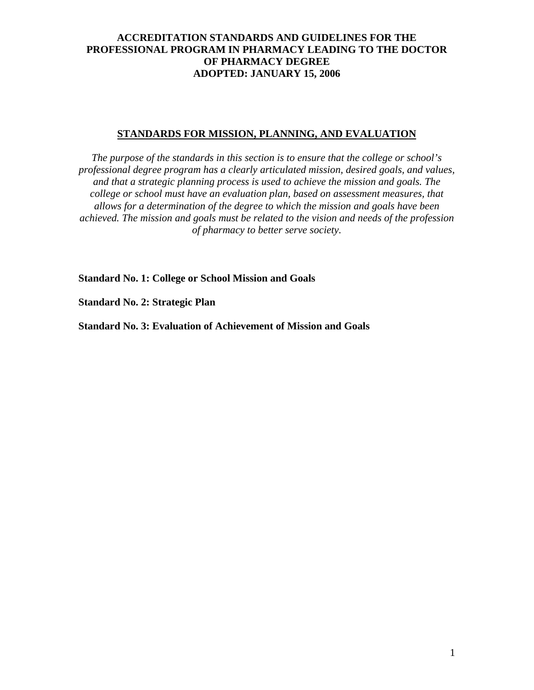### **STANDARDS FOR MISSION, PLANNING, AND EVALUATION**

*The purpose of the standards in this section is to ensure that the college or school's professional degree program has a clearly articulated mission, desired goals, and values, and that a strategic planning process is used to achieve the mission and goals. The college or school must have an evaluation plan, based on assessment measures, that allows for a determination of the degree to which the mission and goals have been achieved. The mission and goals must be related to the vision and needs of the profession of pharmacy to better serve society.* 

**Standard No. 1: College or School Mission and Goals** 

**Standard No. 2: Strategic Plan** 

**Standard No. 3: Evaluation of Achievement of Mission and Goals**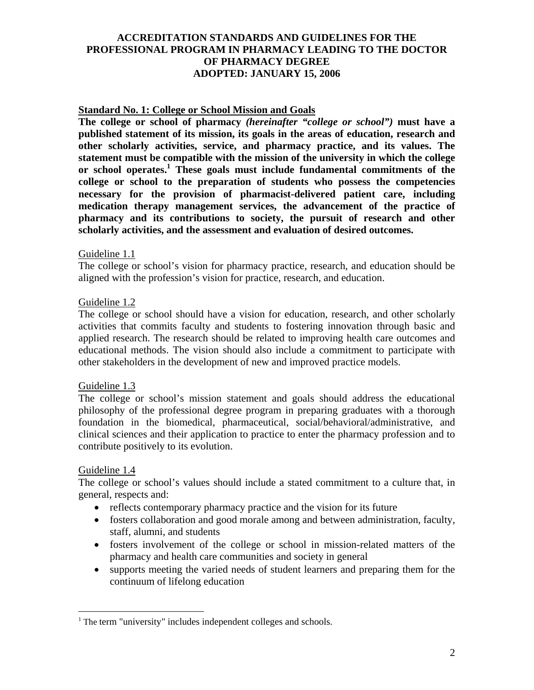### **Standard No. 1: College or School Mission and Goals**

**The college or school of pharmacy** *(hereinafter "college or school")* **must have a published statement of its mission, its goals in the areas of education, research and other scholarly activities, service, and pharmacy practice, and its values. The statement must be compatible with the mission of the university in which the college or school operates.1 These goals must include fundamental commitments of the college or school to the preparation of students who possess the competencies necessary for the provision of pharmacist-delivered patient care, including medication therapy management services, the advancement of the practice of pharmacy and its contributions to society, the pursuit of research and other scholarly activities, and the assessment and evaluation of desired outcomes.** 

#### Guideline 1.1

The college or school's vision for pharmacy practice, research, and education should be aligned with the profession's vision for practice, research, and education.

#### Guideline 1.2

The college or school should have a vision for education, research, and other scholarly activities that commits faculty and students to fostering innovation through basic and applied research. The research should be related to improving health care outcomes and educational methods. The vision should also include a commitment to participate with other stakeholders in the development of new and improved practice models.

#### Guideline 1.3

The college or school's mission statement and goals should address the educational philosophy of the professional degree program in preparing graduates with a thorough foundation in the biomedical, pharmaceutical, social/behavioral/administrative, and clinical sciences and their application to practice to enter the pharmacy profession and to contribute positively to its evolution.

#### Guideline 1.4

 $\overline{a}$ 

The college or school's values should include a stated commitment to a culture that, in general, respects and:

- reflects contemporary pharmacy practice and the vision for its future
- fosters collaboration and good morale among and between administration, faculty, staff, alumni, and students
- fosters involvement of the college or school in mission-related matters of the pharmacy and health care communities and society in general
- supports meeting the varied needs of student learners and preparing them for the continuum of lifelong education

<sup>&</sup>lt;sup>1</sup> The term "university" includes independent colleges and schools.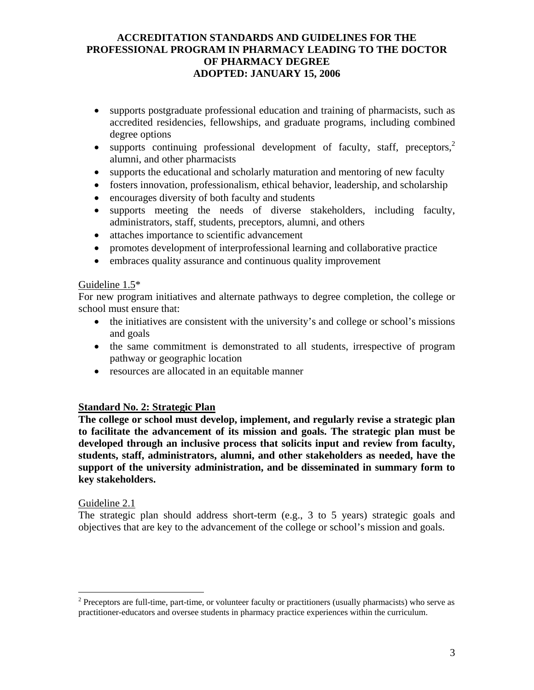- supports postgraduate professional education and training of pharmacists, such as accredited residencies, fellowships, and graduate programs, including combined degree options
- supports continuing professional development of faculty, staff, preceptors, $2$ alumni, and other pharmacists
- supports the educational and scholarly maturation and mentoring of new faculty
- fosters innovation, professionalism, ethical behavior, leadership, and scholarship
- encourages diversity of both faculty and students
- supports meeting the needs of diverse stakeholders, including faculty, administrators, staff, students, preceptors, alumni, and others
- attaches importance to scientific advancement
- promotes development of interprofessional learning and collaborative practice
- embraces quality assurance and continuous quality improvement

### Guideline 1.5\*

For new program initiatives and alternate pathways to degree completion, the college or school must ensure that:

- the initiatives are consistent with the university's and college or school's missions and goals
- the same commitment is demonstrated to all students, irrespective of program pathway or geographic location
- resources are allocated in an equitable manner

## **Standard No. 2: Strategic Plan**

**The college or school must develop, implement, and regularly revise a strategic plan to facilitate the advancement of its mission and goals. The strategic plan must be developed through an inclusive process that solicits input and review from faculty, students, staff, administrators, alumni, and other stakeholders as needed, have the support of the university administration, and be disseminated in summary form to key stakeholders.** 

## Guideline 2.1

 $\overline{a}$ 

The strategic plan should address short-term (e.g., 3 to 5 years) strategic goals and objectives that are key to the advancement of the college or school's mission and goals.

 $2^2$  Preceptors are full-time, part-time, or volunteer faculty or practitioners (usually pharmacists) who serve as practitioner-educators and oversee students in pharmacy practice experiences within the curriculum.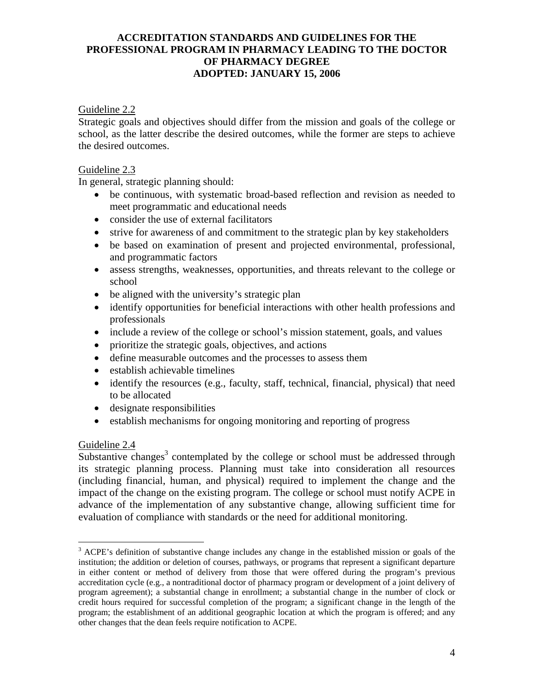Guideline 2.2

Strategic goals and objectives should differ from the mission and goals of the college or school, as the latter describe the desired outcomes, while the former are steps to achieve the desired outcomes.

### Guideline 2.3

In general, strategic planning should:

- be continuous, with systematic broad-based reflection and revision as needed to meet programmatic and educational needs
- consider the use of external facilitators
- strive for awareness of and commitment to the strategic plan by key stakeholders
- be based on examination of present and projected environmental, professional, and programmatic factors
- assess strengths, weaknesses, opportunities, and threats relevant to the college or school
- be aligned with the university's strategic plan
- identify opportunities for beneficial interactions with other health professions and professionals
- include a review of the college or school's mission statement, goals, and values
- prioritize the strategic goals, objectives, and actions
- define measurable outcomes and the processes to assess them
- establish achievable timelines
- identify the resources (e.g., faculty, staff, technical, financial, physical) that need to be allocated
- designate responsibilities
- establish mechanisms for ongoing monitoring and reporting of progress

## Guideline 2.4

 $\overline{a}$ 

Substantive changes<sup>3</sup> contemplated by the college or school must be addressed through its strategic planning process. Planning must take into consideration all resources (including financial, human, and physical) required to implement the change and the impact of the change on the existing program. The college or school must notify ACPE in advance of the implementation of any substantive change, allowing sufficient time for evaluation of compliance with standards or the need for additional monitoring.

<sup>&</sup>lt;sup>3</sup> ACPE's definition of substantive change includes any change in the established mission or goals of the institution; the addition or deletion of courses, pathways, or programs that represent a significant departure in either content or method of delivery from those that were offered during the program's previous accreditation cycle (e.g., a nontraditional doctor of pharmacy program or development of a joint delivery of program agreement); a substantial change in enrollment; a substantial change in the number of clock or credit hours required for successful completion of the program; a significant change in the length of the program; the establishment of an additional geographic location at which the program is offered; and any other changes that the dean feels require notification to ACPE.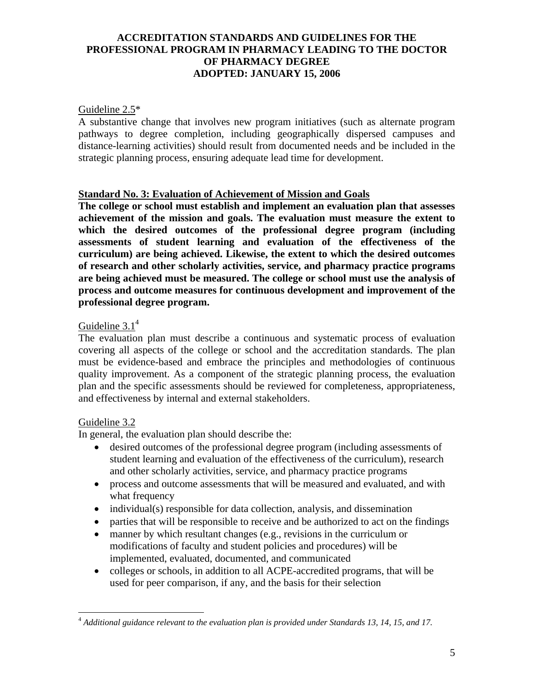### Guideline 2.5\*

A substantive change that involves new program initiatives (such as alternate program pathways to degree completion, including geographically dispersed campuses and distance-learning activities) should result from documented needs and be included in the strategic planning process, ensuring adequate lead time for development.

#### **Standard No. 3: Evaluation of Achievement of Mission and Goals**

**The college or school must establish and implement an evaluation plan that assesses achievement of the mission and goals. The evaluation must measure the extent to which the desired outcomes of the professional degree program (including assessments of student learning and evaluation of the effectiveness of the curriculum) are being achieved. Likewise, the extent to which the desired outcomes of research and other scholarly activities, service, and pharmacy practice programs are being achieved must be measured. The college or school must use the analysis of process and outcome measures for continuous development and improvement of the professional degree program.** 

### Guideline  $3.1<sup>4</sup>$

The evaluation plan must describe a continuous and systematic process of evaluation covering all aspects of the college or school and the accreditation standards. The plan must be evidence-based and embrace the principles and methodologies of continuous quality improvement. As a component of the strategic planning process, the evaluation plan and the specific assessments should be reviewed for completeness, appropriateness, and effectiveness by internal and external stakeholders.

#### Guideline 3.2

 $\overline{a}$ 

In general, the evaluation plan should describe the:

- desired outcomes of the professional degree program (including assessments of student learning and evaluation of the effectiveness of the curriculum), research and other scholarly activities, service, and pharmacy practice programs
- process and outcome assessments that will be measured and evaluated, and with what frequency
- individual(s) responsible for data collection, analysis, and dissemination
- parties that will be responsible to receive and be authorized to act on the findings
- manner by which resultant changes (e.g., revisions in the curriculum or modifications of faculty and student policies and procedures) will be implemented, evaluated, documented, and communicated
- colleges or schools, in addition to all ACPE-accredited programs, that will be used for peer comparison, if any, and the basis for their selection

<sup>4</sup> *Additional guidance relevant to the evaluation plan is provided under Standards 13, 14, 15, and 17.*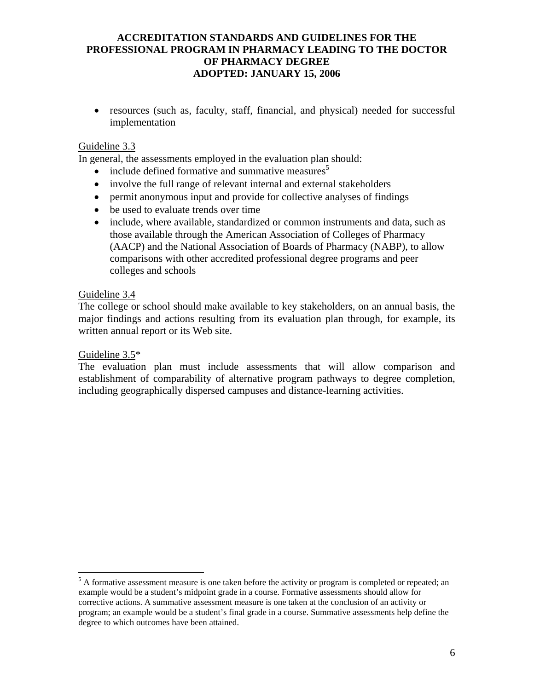• resources (such as, faculty, staff, financial, and physical) needed for successful implementation

### Guideline 3.3

In general, the assessments employed in the evaluation plan should:

- include defined formative and summative measures<sup>5</sup>
- involve the full range of relevant internal and external stakeholders
- permit anonymous input and provide for collective analyses of findings
- be used to evaluate trends over time
- include, where available, standardized or common instruments and data, such as those available through the American Association of Colleges of Pharmacy (AACP) and the National Association of Boards of Pharmacy (NABP), to allow comparisons with other accredited professional degree programs and peer colleges and schools

### Guideline 3.4

The college or school should make available to key stakeholders, on an annual basis, the major findings and actions resulting from its evaluation plan through, for example, its written annual report or its Web site.

#### Guideline 3.5\*

 $\overline{a}$ 

The evaluation plan must include assessments that will allow comparison and establishment of comparability of alternative program pathways to degree completion, including geographically dispersed campuses and distance-learning activities.

 $<sup>5</sup>$  A formative assessment measure is one taken before the activity or program is completed or repeated; an</sup> example would be a student's midpoint grade in a course. Formative assessments should allow for corrective actions. A summative assessment measure is one taken at the conclusion of an activity or program; an example would be a student's final grade in a course. Summative assessments help define the degree to which outcomes have been attained.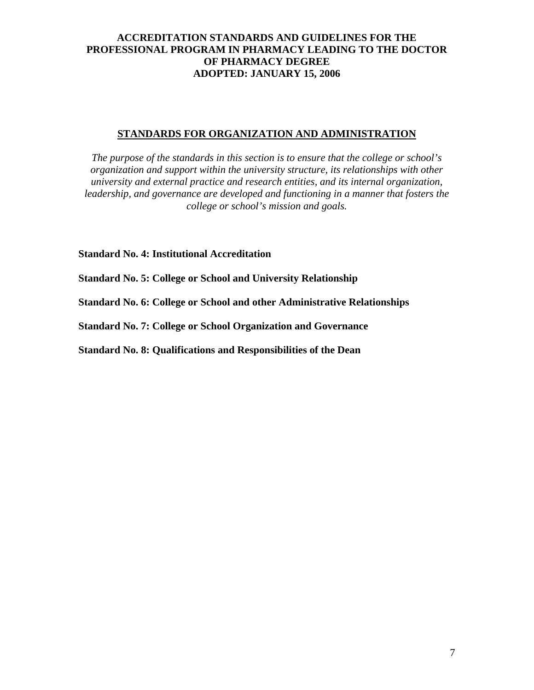### **STANDARDS FOR ORGANIZATION AND ADMINISTRATION**

*The purpose of the standards in this section is to ensure that the college or school's organization and support within the university structure, its relationships with other university and external practice and research entities, and its internal organization, leadership, and governance are developed and functioning in a manner that fosters the college or school's mission and goals.* 

**Standard No. 4: Institutional Accreditation** 

**Standard No. 5: College or School and University Relationship** 

**Standard No. 6: College or School and other Administrative Relationships** 

**Standard No. 7: College or School Organization and Governance** 

**Standard No. 8: Qualifications and Responsibilities of the Dean**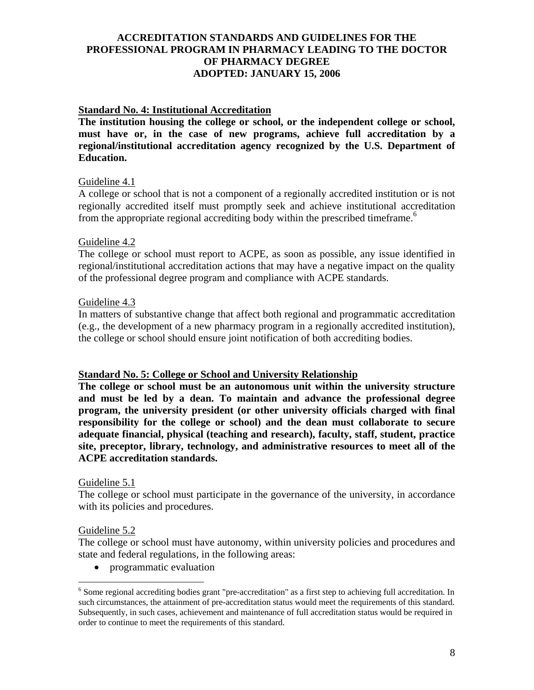### **Standard No. 4: Institutional Accreditation**

**The institution housing the college or school, or the independent college or school, must have or, in the case of new programs, achieve full accreditation by a regional/institutional accreditation agency recognized by the U.S. Department of Education.** 

#### Guideline 4.1

A college or school that is not a component of a regionally accredited institution or is not regionally accredited itself must promptly seek and achieve institutional accreditation from the appropriate regional accrediting body within the prescribed timeframe.<sup>6</sup>

#### Guideline 4.2

The college or school must report to ACPE, as soon as possible, any issue identified in regional/institutional accreditation actions that may have a negative impact on the quality of the professional degree program and compliance with ACPE standards.

#### Guideline 4.3

In matters of substantive change that affect both regional and programmatic accreditation (e.g., the development of a new pharmacy program in a regionally accredited institution), the college or school should ensure joint notification of both accrediting bodies.

#### **Standard No. 5: College or School and University Relationship**

**The college or school must be an autonomous unit within the university structure and must be led by a dean. To maintain and advance the professional degree program, the university president (or other university officials charged with final responsibility for the college or school) and the dean must collaborate to secure adequate financial, physical (teaching and research), faculty, staff, student, practice site, preceptor, library, technology, and administrative resources to meet all of the ACPE accreditation standards.** 

#### Guideline 5.1

The college or school must participate in the governance of the university, in accordance with its policies and procedures.

#### Guideline 5.2

 $\overline{a}$ 

The college or school must have autonomy, within university policies and procedures and state and federal regulations, in the following areas:

• programmatic evaluation

<sup>&</sup>lt;sup>6</sup> Some regional accrediting bodies grant "pre-accreditation" as a first step to achieving full accreditation. In such circumstances, the attainment of pre-accreditation status would meet the requirements of this standard. Subsequently, in such cases, achievement and maintenance of full accreditation status would be required in order to continue to meet the requirements of this standard.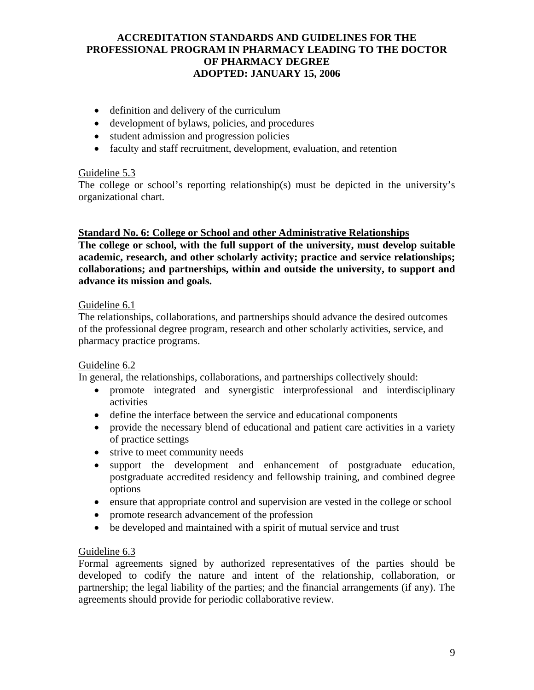- definition and delivery of the curriculum
- development of bylaws, policies, and procedures
- student admission and progression policies
- faculty and staff recruitment, development, evaluation, and retention

### Guideline 5.3

The college or school's reporting relationship(s) must be depicted in the university's organizational chart.

### **Standard No. 6: College or School and other Administrative Relationships**

**The college or school, with the full support of the university, must develop suitable academic, research, and other scholarly activity; practice and service relationships; collaborations; and partnerships, within and outside the university, to support and advance its mission and goals.** 

## Guideline 6.1

The relationships, collaborations, and partnerships should advance the desired outcomes of the professional degree program, research and other scholarly activities, service, and pharmacy practice programs.

## Guideline 6.2

In general, the relationships, collaborations, and partnerships collectively should:

- promote integrated and synergistic interprofessional and interdisciplinary activities
- define the interface between the service and educational components
- provide the necessary blend of educational and patient care activities in a variety of practice settings
- strive to meet community needs
- support the development and enhancement of postgraduate education, postgraduate accredited residency and fellowship training, and combined degree options
- ensure that appropriate control and supervision are vested in the college or school
- promote research advancement of the profession
- be developed and maintained with a spirit of mutual service and trust

## Guideline 6.3

Formal agreements signed by authorized representatives of the parties should be developed to codify the nature and intent of the relationship, collaboration, or partnership; the legal liability of the parties; and the financial arrangements (if any). The agreements should provide for periodic collaborative review.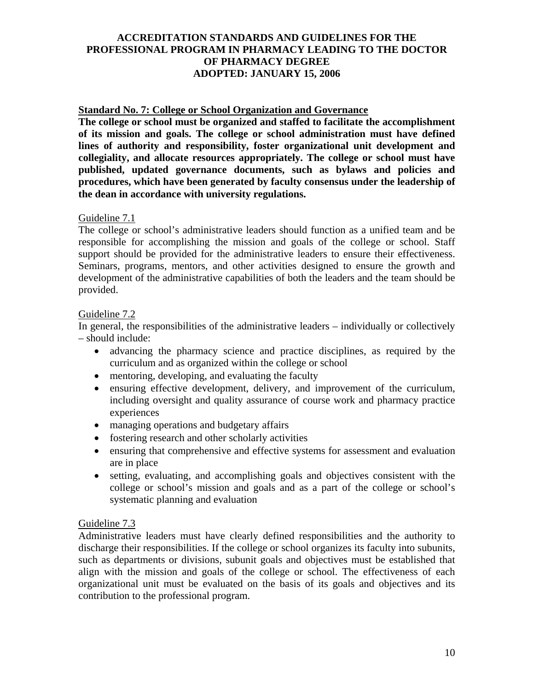### **Standard No. 7: College or School Organization and Governance**

**The college or school must be organized and staffed to facilitate the accomplishment of its mission and goals. The college or school administration must have defined lines of authority and responsibility, foster organizational unit development and collegiality, and allocate resources appropriately. The college or school must have published, updated governance documents, such as bylaws and policies and procedures, which have been generated by faculty consensus under the leadership of the dean in accordance with university regulations.** 

#### Guideline 7.1

The college or school's administrative leaders should function as a unified team and be responsible for accomplishing the mission and goals of the college or school. Staff support should be provided for the administrative leaders to ensure their effectiveness. Seminars, programs, mentors, and other activities designed to ensure the growth and development of the administrative capabilities of both the leaders and the team should be provided.

### Guideline 7.2

In general, the responsibilities of the administrative leaders – individually or collectively – should include:

- advancing the pharmacy science and practice disciplines, as required by the curriculum and as organized within the college or school
- mentoring, developing, and evaluating the faculty
- ensuring effective development, delivery, and improvement of the curriculum, including oversight and quality assurance of course work and pharmacy practice experiences
- managing operations and budgetary affairs
- fostering research and other scholarly activities
- ensuring that comprehensive and effective systems for assessment and evaluation are in place
- setting, evaluating, and accomplishing goals and objectives consistent with the college or school's mission and goals and as a part of the college or school's systematic planning and evaluation

#### Guideline 7.3

Administrative leaders must have clearly defined responsibilities and the authority to discharge their responsibilities. If the college or school organizes its faculty into subunits, such as departments or divisions, subunit goals and objectives must be established that align with the mission and goals of the college or school. The effectiveness of each organizational unit must be evaluated on the basis of its goals and objectives and its contribution to the professional program.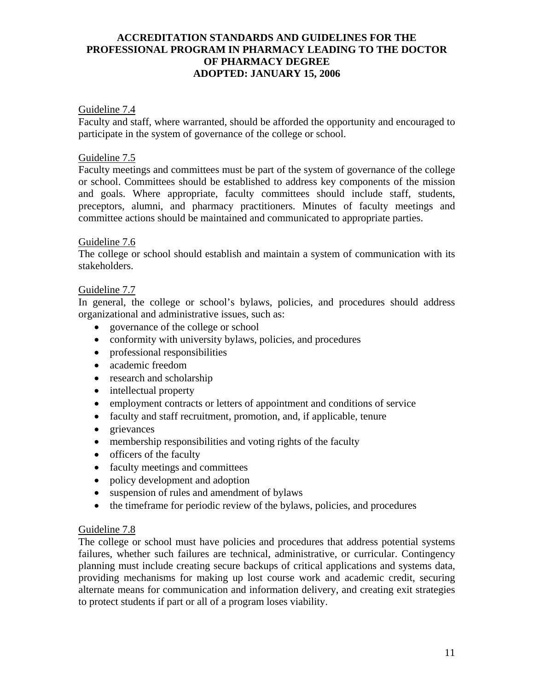### Guideline 7.4

Faculty and staff, where warranted, should be afforded the opportunity and encouraged to participate in the system of governance of the college or school.

## Guideline 7.5

Faculty meetings and committees must be part of the system of governance of the college or school. Committees should be established to address key components of the mission and goals. Where appropriate, faculty committees should include staff, students, preceptors, alumni, and pharmacy practitioners. Minutes of faculty meetings and committee actions should be maintained and communicated to appropriate parties.

#### Guideline 7.6

The college or school should establish and maintain a system of communication with its stakeholders.

### Guideline 7.7

In general, the college or school's bylaws, policies, and procedures should address organizational and administrative issues, such as:

- governance of the college or school
- conformity with university bylaws, policies, and procedures
- professional responsibilities
- academic freedom
- research and scholarship
- intellectual property
- employment contracts or letters of appointment and conditions of service
- faculty and staff recruitment, promotion, and, if applicable, tenure
- grievances
- membership responsibilities and voting rights of the faculty
- officers of the faculty
- faculty meetings and committees
- policy development and adoption
- suspension of rules and amendment of bylaws
- the timeframe for periodic review of the bylaws, policies, and procedures

#### Guideline 7.8

The college or school must have policies and procedures that address potential systems failures, whether such failures are technical, administrative, or curricular. Contingency planning must include creating secure backups of critical applications and systems data, providing mechanisms for making up lost course work and academic credit, securing alternate means for communication and information delivery, and creating exit strategies to protect students if part or all of a program loses viability.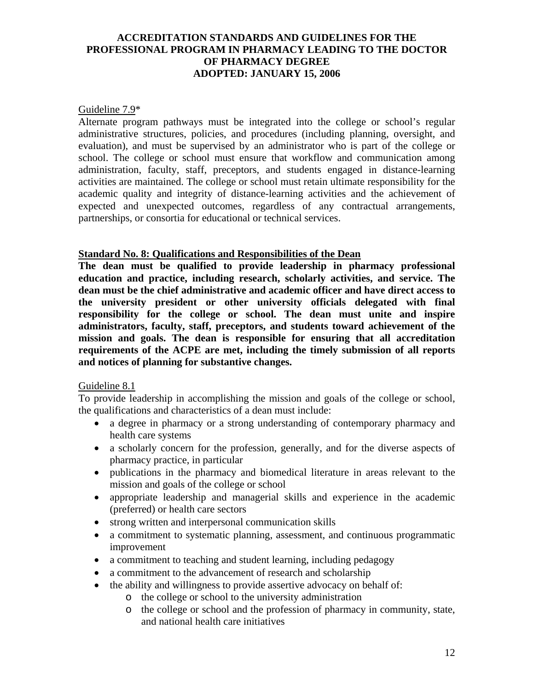#### Guideline 7.9\*

Alternate program pathways must be integrated into the college or school's regular administrative structures, policies, and procedures (including planning, oversight, and evaluation), and must be supervised by an administrator who is part of the college or school. The college or school must ensure that workflow and communication among administration, faculty, staff, preceptors, and students engaged in distance-learning activities are maintained. The college or school must retain ultimate responsibility for the academic quality and integrity of distance-learning activities and the achievement of expected and unexpected outcomes, regardless of any contractual arrangements, partnerships, or consortia for educational or technical services.

#### **Standard No. 8: Qualifications and Responsibilities of the Dean**

**The dean must be qualified to provide leadership in pharmacy professional education and practice, including research, scholarly activities, and service. The dean must be the chief administrative and academic officer and have direct access to the university president or other university officials delegated with final responsibility for the college or school. The dean must unite and inspire administrators, faculty, staff, preceptors, and students toward achievement of the mission and goals. The dean is responsible for ensuring that all accreditation requirements of the ACPE are met, including the timely submission of all reports and notices of planning for substantive changes.** 

#### Guideline 8.1

To provide leadership in accomplishing the mission and goals of the college or school, the qualifications and characteristics of a dean must include:

- a degree in pharmacy or a strong understanding of contemporary pharmacy and health care systems
- a scholarly concern for the profession, generally, and for the diverse aspects of pharmacy practice, in particular
- publications in the pharmacy and biomedical literature in areas relevant to the mission and goals of the college or school
- appropriate leadership and managerial skills and experience in the academic (preferred) or health care sectors
- strong written and interpersonal communication skills
- a commitment to systematic planning, assessment, and continuous programmatic improvement
- a commitment to teaching and student learning, including pedagogy
- a commitment to the advancement of research and scholarship
- the ability and willingness to provide assertive advocacy on behalf of:
	- o the college or school to the university administration
	- o the college or school and the profession of pharmacy in community, state, and national health care initiatives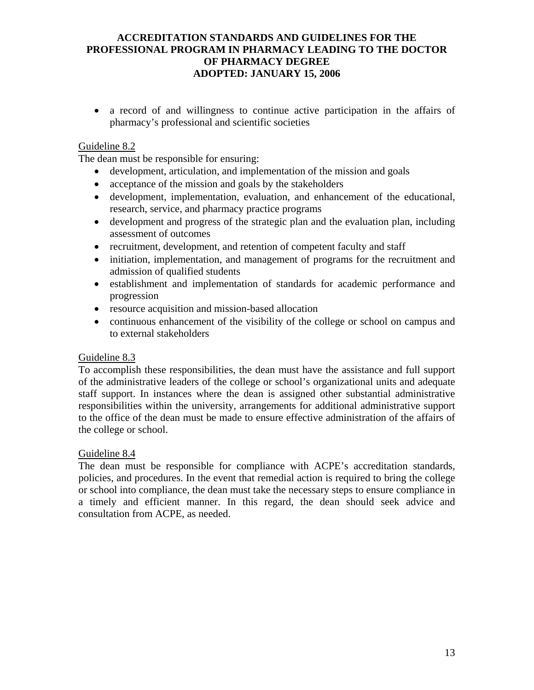• a record of and willingness to continue active participation in the affairs of pharmacy's professional and scientific societies

## Guideline 8.2

The dean must be responsible for ensuring:

- development, articulation, and implementation of the mission and goals
- acceptance of the mission and goals by the stakeholders
- development, implementation, evaluation, and enhancement of the educational, research, service, and pharmacy practice programs
- development and progress of the strategic plan and the evaluation plan, including assessment of outcomes
- recruitment, development, and retention of competent faculty and staff
- initiation, implementation, and management of programs for the recruitment and admission of qualified students
- establishment and implementation of standards for academic performance and progression
- resource acquisition and mission-based allocation
- continuous enhancement of the visibility of the college or school on campus and to external stakeholders

#### Guideline 8.3

To accomplish these responsibilities, the dean must have the assistance and full support of the administrative leaders of the college or school's organizational units and adequate staff support. In instances where the dean is assigned other substantial administrative responsibilities within the university, arrangements for additional administrative support to the office of the dean must be made to ensure effective administration of the affairs of the college or school.

#### Guideline 8.4

The dean must be responsible for compliance with ACPE's accreditation standards, policies, and procedures. In the event that remedial action is required to bring the college or school into compliance, the dean must take the necessary steps to ensure compliance in a timely and efficient manner. In this regard, the dean should seek advice and consultation from ACPE, as needed.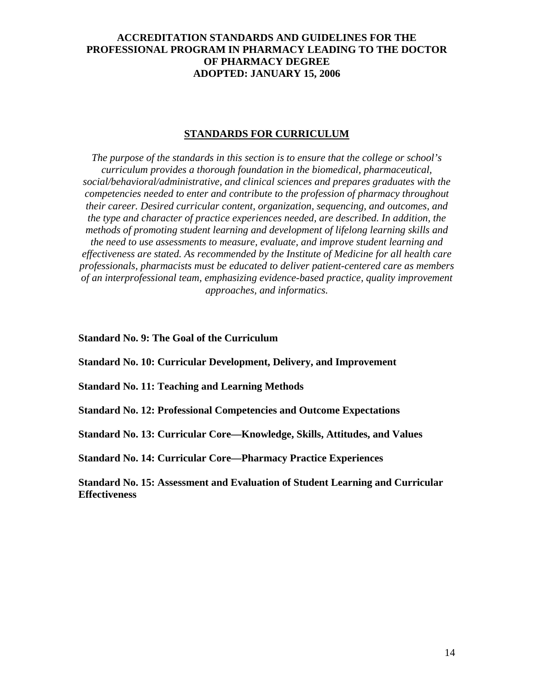#### **STANDARDS FOR CURRICULUM**

*The purpose of the standards in this section is to ensure that the college or school's curriculum provides a thorough foundation in the biomedical, pharmaceutical, social/behavioral/administrative, and clinical sciences and prepares graduates with the competencies needed to enter and contribute to the profession of pharmacy throughout their career. Desired curricular content, organization, sequencing, and outcomes, and the type and character of practice experiences needed, are described. In addition, the methods of promoting student learning and development of lifelong learning skills and the need to use assessments to measure, evaluate, and improve student learning and effectiveness are stated. As recommended by the Institute of Medicine for all health care professionals, pharmacists must be educated to deliver patient-centered care as members of an interprofessional team, emphasizing evidence-based practice, quality improvement approaches, and informatics.*

**Standard No. 9: The Goal of the Curriculum** 

**Standard No. 10: Curricular Development, Delivery, and Improvement** 

**Standard No. 11: Teaching and Learning Methods** 

**Standard No. 12: Professional Competencies and Outcome Expectations** 

**Standard No. 13: Curricular Core—Knowledge, Skills, Attitudes, and Values** 

**Standard No. 14: Curricular Core—Pharmacy Practice Experiences** 

**Standard No. 15: Assessment and Evaluation of Student Learning and Curricular Effectiveness**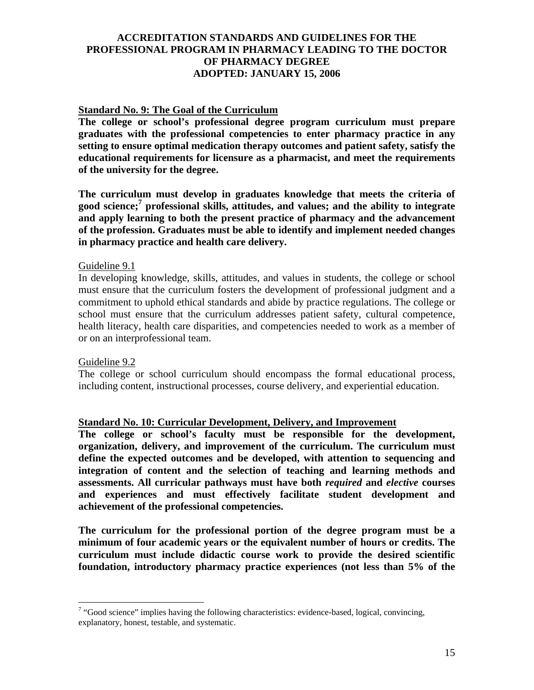### **Standard No. 9: The Goal of the Curriculum**

**The college or school's professional degree program curriculum must prepare graduates with the professional competencies to enter pharmacy practice in any setting to ensure optimal medication therapy outcomes and patient safety, satisfy the educational requirements for licensure as a pharmacist, and meet the requirements of the university for the degree.** 

**The curriculum must develop in graduates knowledge that meets the criteria of good science;7 professional skills, attitudes, and values; and the ability to integrate and apply learning to both the present practice of pharmacy and the advancement of the profession. Graduates must be able to identify and implement needed changes in pharmacy practice and health care delivery.** 

#### Guideline 9.1

In developing knowledge, skills, attitudes, and values in students, the college or school must ensure that the curriculum fosters the development of professional judgment and a commitment to uphold ethical standards and abide by practice regulations. The college or school must ensure that the curriculum addresses patient safety, cultural competence, health literacy, health care disparities, and competencies needed to work as a member of or on an interprofessional team.

#### Guideline 9.2

The college or school curriculum should encompass the formal educational process, including content, instructional processes, course delivery, and experiential education.

#### **Standard No. 10: Curricular Development, Delivery, and Improvement**

**The college or school's faculty must be responsible for the development, organization, delivery, and improvement of the curriculum. The curriculum must define the expected outcomes and be developed, with attention to sequencing and integration of content and the selection of teaching and learning methods and assessments. All curricular pathways must have both** *required* **and** *elective* **courses and experiences and must effectively facilitate student development and achievement of the professional competencies.** 

**The curriculum for the professional portion of the degree program must be a minimum of four academic years or the equivalent number of hours or credits. The curriculum must include didactic course work to provide the desired scientific foundation, introductory pharmacy practice experiences (not less than 5% of the** 

T<br>
<sup>7</sup> "Good science" implies having the following characteristics: evidence-based, logical, convincing, explanatory, honest, testable, and systematic.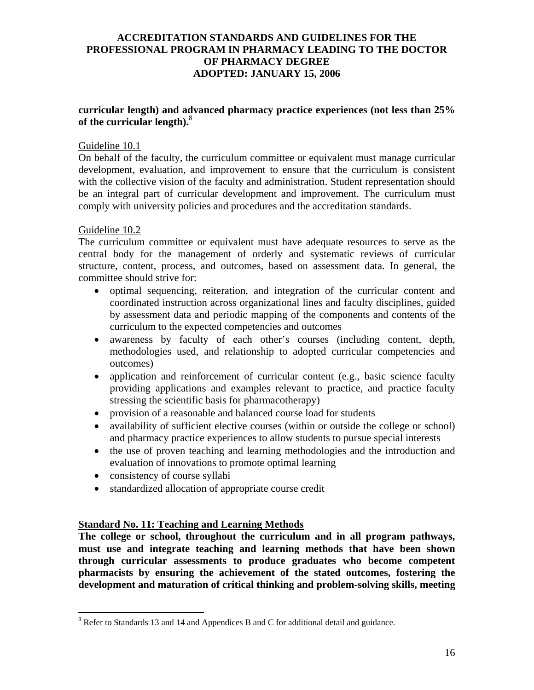### **curricular length) and advanced pharmacy practice experiences (not less than 25% of the curricular length).**<sup>8</sup>

### Guideline 10.1

On behalf of the faculty, the curriculum committee or equivalent must manage curricular development, evaluation, and improvement to ensure that the curriculum is consistent with the collective vision of the faculty and administration. Student representation should be an integral part of curricular development and improvement. The curriculum must comply with university policies and procedures and the accreditation standards.

### Guideline 10.2

 $\overline{a}$ 

The curriculum committee or equivalent must have adequate resources to serve as the central body for the management of orderly and systematic reviews of curricular structure, content, process, and outcomes, based on assessment data. In general, the committee should strive for:

- optimal sequencing, reiteration, and integration of the curricular content and coordinated instruction across organizational lines and faculty disciplines, guided by assessment data and periodic mapping of the components and contents of the curriculum to the expected competencies and outcomes
- awareness by faculty of each other's courses (including content, depth, methodologies used, and relationship to adopted curricular competencies and outcomes)
- application and reinforcement of curricular content (e.g., basic science faculty providing applications and examples relevant to practice, and practice faculty stressing the scientific basis for pharmacotherapy)
- provision of a reasonable and balanced course load for students
- availability of sufficient elective courses (within or outside the college or school) and pharmacy practice experiences to allow students to pursue special interests
- the use of proven teaching and learning methodologies and the introduction and evaluation of innovations to promote optimal learning
- consistency of course syllabi
- standardized allocation of appropriate course credit

#### **Standard No. 11: Teaching and Learning Methods**

**The college or school, throughout the curriculum and in all program pathways, must use and integrate teaching and learning methods that have been shown through curricular assessments to produce graduates who become competent pharmacists by ensuring the achievement of the stated outcomes, fostering the development and maturation of critical thinking and problem-solving skills, meeting** 

 $8$  Refer to Standards 13 and 14 and Appendices B and C for additional detail and guidance.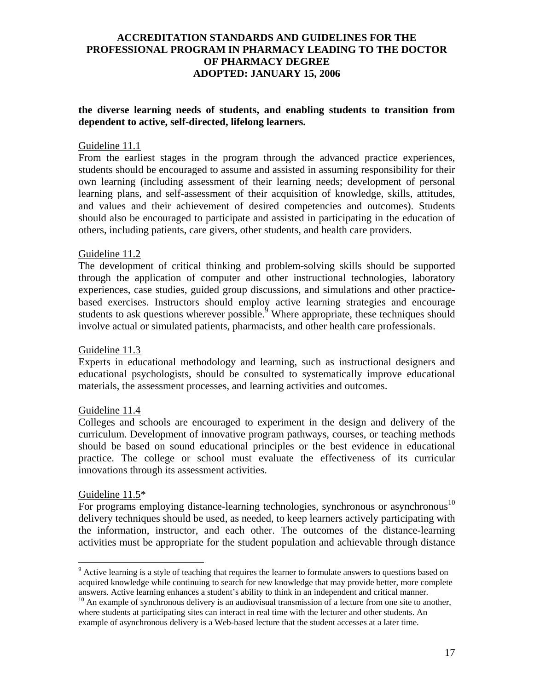### **the diverse learning needs of students, and enabling students to transition from dependent to active, self-directed, lifelong learners.**

#### Guideline 11.1

From the earliest stages in the program through the advanced practice experiences, students should be encouraged to assume and assisted in assuming responsibility for their own learning (including assessment of their learning needs; development of personal learning plans, and self-assessment of their acquisition of knowledge, skills, attitudes, and values and their achievement of desired competencies and outcomes). Students should also be encouraged to participate and assisted in participating in the education of others, including patients, care givers, other students, and health care providers.

#### Guideline 11.2

The development of critical thinking and problem-solving skills should be supported through the application of computer and other instructional technologies, laboratory experiences, case studies, guided group discussions, and simulations and other practicebased exercises. Instructors should employ active learning strategies and encourage students to ask questions wherever possible.<sup>9</sup> Where appropriate, these techniques should involve actual or simulated patients, pharmacists, and other health care professionals.

#### Guideline 11.3

Experts in educational methodology and learning, such as instructional designers and educational psychologists, should be consulted to systematically improve educational materials, the assessment processes, and learning activities and outcomes.

#### Guideline 11.4

Colleges and schools are encouraged to experiment in the design and delivery of the curriculum. Development of innovative program pathways, courses, or teaching methods should be based on sound educational principles or the best evidence in educational practice. The college or school must evaluate the effectiveness of its curricular innovations through its assessment activities.

#### Guideline 11.5\*

1

For programs employing distance-learning technologies, synchronous or asynchronous<sup>10</sup> delivery techniques should be used, as needed, to keep learners actively participating with the information, instructor, and each other. The outcomes of the distance-learning activities must be appropriate for the student population and achievable through distance

<sup>&</sup>lt;sup>9</sup> Active learning is a style of teaching that requires the learner to formulate answers to questions based on acquired knowledge while continuing to search for new knowledge that may provide better, more complete answers. Active learning enhances a student's ability to think in an independent and critical manner.

<sup>&</sup>lt;sup>10</sup> An example of synchronous delivery is an audiovisual transmission of a lecture from one site to another, where students at participating sites can interact in real time with the lecturer and other students. An example of asynchronous delivery is a Web-based lecture that the student accesses at a later time.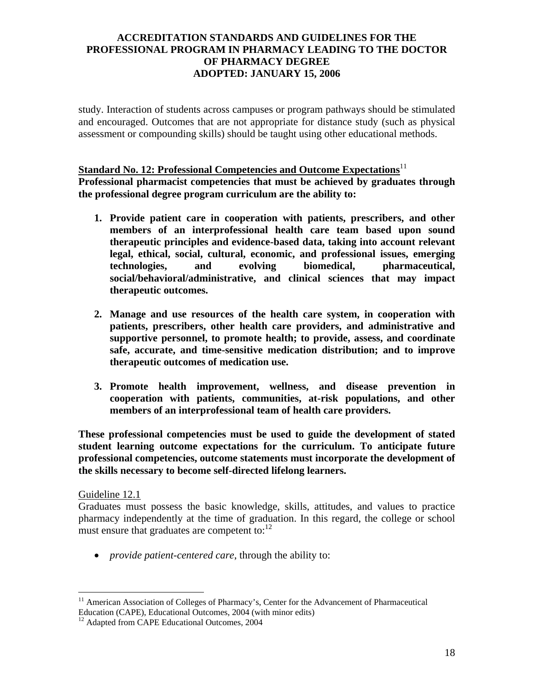study. Interaction of students across campuses or program pathways should be stimulated and encouraged. Outcomes that are not appropriate for distance study (such as physical assessment or compounding skills) should be taught using other educational methods.

## **Standard No. 12: Professional Competencies and Outcome Expectations**<sup>11</sup>

**Professional pharmacist competencies that must be achieved by graduates through the professional degree program curriculum are the ability to:** 

- **1. Provide patient care in cooperation with patients, prescribers, and other members of an interprofessional health care team based upon sound therapeutic principles and evidence-based data, taking into account relevant legal, ethical, social, cultural, economic, and professional issues, emerging technologies, and evolving biomedical, pharmaceutical, social/behavioral/administrative, and clinical sciences that may impact therapeutic outcomes.**
- **2. Manage and use resources of the health care system, in cooperation with patients, prescribers, other health care providers, and administrative and supportive personnel, to promote health; to provide, assess, and coordinate safe, accurate, and time-sensitive medication distribution; and to improve therapeutic outcomes of medication use.**
- **3. Promote health improvement, wellness, and disease prevention in cooperation with patients, communities, at-risk populations, and other members of an interprofessional team of health care providers.**

**These professional competencies must be used to guide the development of stated student learning outcome expectations for the curriculum. To anticipate future professional competencies, outcome statements must incorporate the development of the skills necessary to become self-directed lifelong learners.** 

#### Guideline 12.1

Graduates must possess the basic knowledge, skills, attitudes, and values to practice pharmacy independently at the time of graduation. In this regard, the college or school must ensure that graduates are competent to: $^{12}$ 

• *provide patient-centered care*, through the ability to:

 $\overline{a}$ <sup>11</sup> American Association of Colleges of Pharmacy's, Center for the Advancement of Pharmaceutical Education (CAPE), Educational Outcomes, 2004 (with minor edits)

<sup>&</sup>lt;sup>12</sup> Adapted from CAPE Educational Outcomes, 2004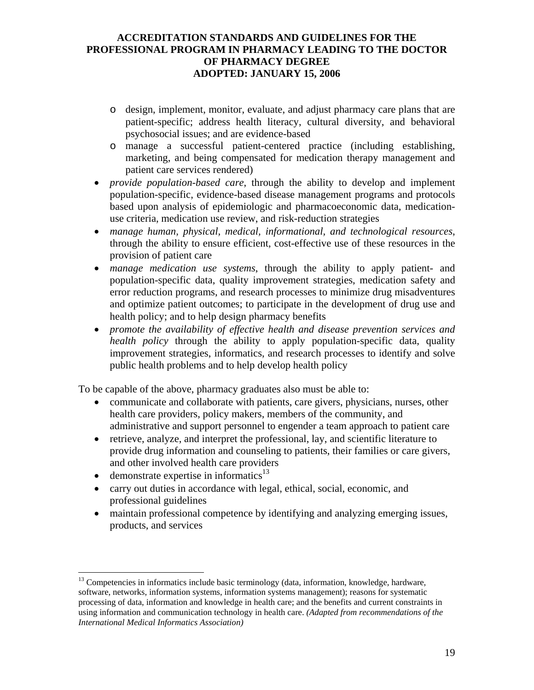- o design, implement, monitor, evaluate, and adjust pharmacy care plans that are patient-specific; address health literacy, cultural diversity, and behavioral psychosocial issues; and are evidence-based
- o manage a successful patient-centered practice (including establishing, marketing, and being compensated for medication therapy management and patient care services rendered)
- *provide population-based care*, through the ability to develop and implement population-specific, evidence-based disease management programs and protocols based upon analysis of epidemiologic and pharmacoeconomic data, medicationuse criteria, medication use review, and risk-reduction strategies
- *manage human, physical, medical, informational, and technological resources*, through the ability to ensure efficient, cost-effective use of these resources in the provision of patient care
- *manage medication use systems*, through the ability to apply patient- and population-specific data, quality improvement strategies, medication safety and error reduction programs, and research processes to minimize drug misadventures and optimize patient outcomes; to participate in the development of drug use and health policy; and to help design pharmacy benefits
- *promote the availability of effective health and disease prevention services and health policy* through the ability to apply population-specific data, quality improvement strategies, informatics, and research processes to identify and solve public health problems and to help develop health policy

To be capable of the above, pharmacy graduates also must be able to:

- communicate and collaborate with patients, care givers, physicians, nurses, other health care providers, policy makers, members of the community, and administrative and support personnel to engender a team approach to patient care
- retrieve, analyze, and interpret the professional, lay, and scientific literature to provide drug information and counseling to patients, their families or care givers, and other involved health care providers
- demonstrate expertise in informatics $^{13}$

1

- carry out duties in accordance with legal, ethical, social, economic, and professional guidelines
- maintain professional competence by identifying and analyzing emerging issues, products, and services

<sup>&</sup>lt;sup>13</sup> Competencies in informatics include basic terminology (data, information, knowledge, hardware, software, networks, information systems, information systems management); reasons for systematic processing of data, information and knowledge in health care; and the benefits and current constraints in using information and communication technology in health care. *(Adapted from recommendations of the International Medical Informatics Association)*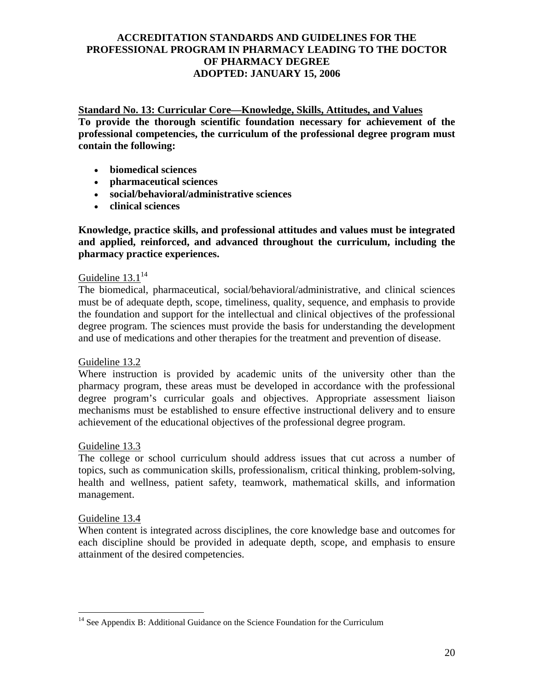**Standard No. 13: Curricular Core—Knowledge, Skills, Attitudes, and Values To provide the thorough scientific foundation necessary for achievement of the professional competencies, the curriculum of the professional degree program must contain the following:** 

- **biomedical sciences**
- **pharmaceutical sciences**
- **social/behavioral/administrative sciences**
- **clinical sciences**

**Knowledge, practice skills, and professional attitudes and values must be integrated and applied, reinforced, and advanced throughout the curriculum, including the pharmacy practice experiences.** 

## Guideline  $13.1^{14}$

The biomedical, pharmaceutical, social/behavioral/administrative, and clinical sciences must be of adequate depth, scope, timeliness, quality, sequence, and emphasis to provide the foundation and support for the intellectual and clinical objectives of the professional degree program. The sciences must provide the basis for understanding the development and use of medications and other therapies for the treatment and prevention of disease.

#### Guideline 13.2

Where instruction is provided by academic units of the university other than the pharmacy program, these areas must be developed in accordance with the professional degree program's curricular goals and objectives. Appropriate assessment liaison mechanisms must be established to ensure effective instructional delivery and to ensure achievement of the educational objectives of the professional degree program.

#### Guideline 13.3

The college or school curriculum should address issues that cut across a number of topics, such as communication skills, professionalism, critical thinking, problem-solving, health and wellness, patient safety, teamwork, mathematical skills, and information management.

#### Guideline 13.4

 $\overline{a}$ 

When content is integrated across disciplines, the core knowledge base and outcomes for each discipline should be provided in adequate depth, scope, and emphasis to ensure attainment of the desired competencies.

<sup>&</sup>lt;sup>14</sup> See Appendix B: Additional Guidance on the Science Foundation for the Curriculum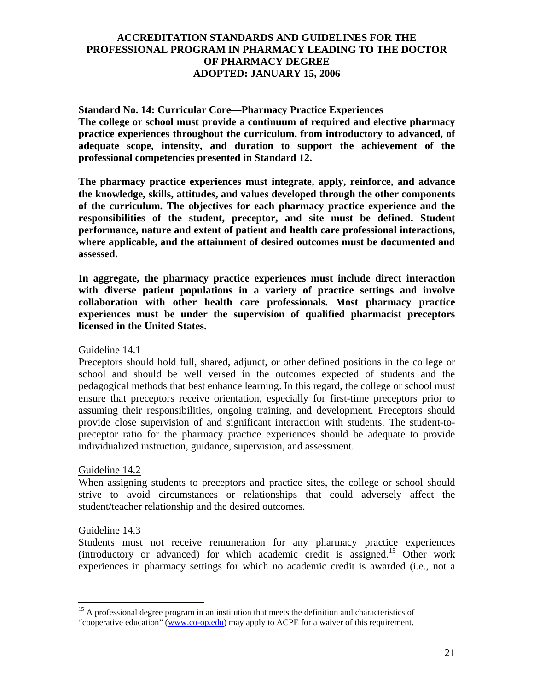### **Standard No. 14: Curricular Core—Pharmacy Practice Experiences**

**The college or school must provide a continuum of required and elective pharmacy practice experiences throughout the curriculum, from introductory to advanced, of adequate scope, intensity, and duration to support the achievement of the professional competencies presented in Standard 12.** 

**The pharmacy practice experiences must integrate, apply, reinforce, and advance the knowledge, skills, attitudes, and values developed through the other components of the curriculum. The objectives for each pharmacy practice experience and the responsibilities of the student, preceptor, and site must be defined. Student performance, nature and extent of patient and health care professional interactions, where applicable, and the attainment of desired outcomes must be documented and assessed.** 

**In aggregate, the pharmacy practice experiences must include direct interaction with diverse patient populations in a variety of practice settings and involve collaboration with other health care professionals. Most pharmacy practice experiences must be under the supervision of qualified pharmacist preceptors licensed in the United States.**

Guideline 14.1

Preceptors should hold full, shared, adjunct, or other defined positions in the college or school and should be well versed in the outcomes expected of students and the pedagogical methods that best enhance learning. In this regard, the college or school must ensure that preceptors receive orientation, especially for first-time preceptors prior to assuming their responsibilities, ongoing training, and development. Preceptors should provide close supervision of and significant interaction with students. The student-topreceptor ratio for the pharmacy practice experiences should be adequate to provide individualized instruction, guidance, supervision, and assessment.

#### Guideline 14.2

When assigning students to preceptors and practice sites, the college or school should strive to avoid circumstances or relationships that could adversely affect the student/teacher relationship and the desired outcomes.

#### Guideline 14.3

 $\overline{a}$ 

Students must not receive remuneration for any pharmacy practice experiences (introductory or advanced) for which academic credit is assigned.15 Other work experiences in pharmacy settings for which no academic credit is awarded (i.e., not a

<sup>&</sup>lt;sup>15</sup> A professional degree program in an institution that meets the definition and characteristics of "cooperative education" (www.co-op.edu) may apply to ACPE for a waiver of this requirement.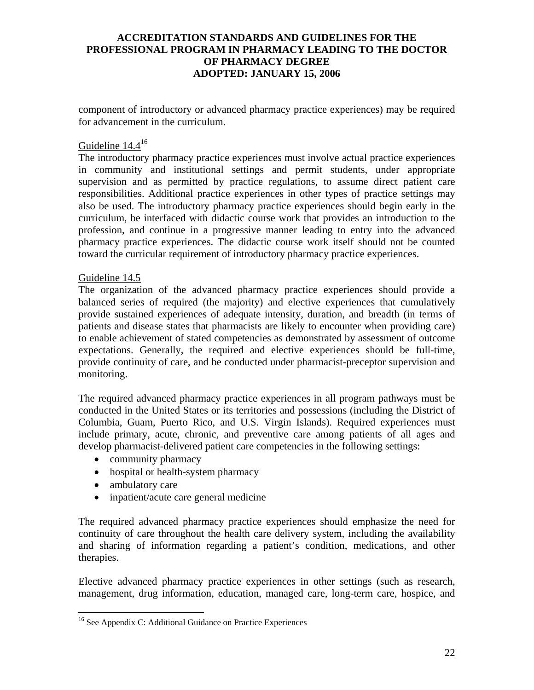component of introductory or advanced pharmacy practice experiences) may be required for advancement in the curriculum.

# Guideline 14.416

The introductory pharmacy practice experiences must involve actual practice experiences in community and institutional settings and permit students, under appropriate supervision and as permitted by practice regulations, to assume direct patient care responsibilities. Additional practice experiences in other types of practice settings may also be used. The introductory pharmacy practice experiences should begin early in the curriculum, be interfaced with didactic course work that provides an introduction to the profession, and continue in a progressive manner leading to entry into the advanced pharmacy practice experiences. The didactic course work itself should not be counted toward the curricular requirement of introductory pharmacy practice experiences.

#### Guideline 14.5

The organization of the advanced pharmacy practice experiences should provide a balanced series of required (the majority) and elective experiences that cumulatively provide sustained experiences of adequate intensity, duration, and breadth (in terms of patients and disease states that pharmacists are likely to encounter when providing care) to enable achievement of stated competencies as demonstrated by assessment of outcome expectations. Generally, the required and elective experiences should be full-time, provide continuity of care, and be conducted under pharmacist-preceptor supervision and monitoring.

The required advanced pharmacy practice experiences in all program pathways must be conducted in the United States or its territories and possessions (including the District of Columbia, Guam, Puerto Rico, and U.S. Virgin Islands). Required experiences must include primary, acute, chronic, and preventive care among patients of all ages and develop pharmacist-delivered patient care competencies in the following settings:

- community pharmacy
- hospital or health-system pharmacy
- ambulatory care

<u>.</u>

• inpatient/acute care general medicine

The required advanced pharmacy practice experiences should emphasize the need for continuity of care throughout the health care delivery system, including the availability and sharing of information regarding a patient's condition, medications, and other therapies.

Elective advanced pharmacy practice experiences in other settings (such as research, management, drug information, education, managed care, long-term care, hospice, and

<sup>&</sup>lt;sup>16</sup> See Appendix C: Additional Guidance on Practice Experiences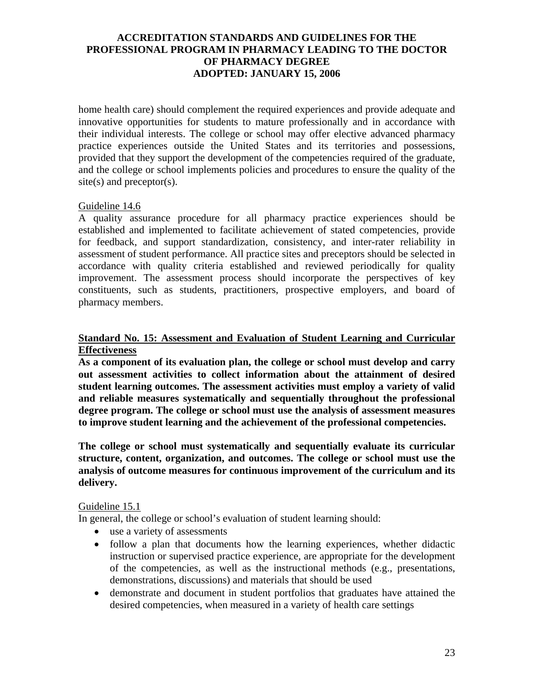home health care) should complement the required experiences and provide adequate and innovative opportunities for students to mature professionally and in accordance with their individual interests. The college or school may offer elective advanced pharmacy practice experiences outside the United States and its territories and possessions, provided that they support the development of the competencies required of the graduate, and the college or school implements policies and procedures to ensure the quality of the site(s) and preceptor(s).

### Guideline 14.6

A quality assurance procedure for all pharmacy practice experiences should be established and implemented to facilitate achievement of stated competencies, provide for feedback, and support standardization, consistency, and inter-rater reliability in assessment of student performance. All practice sites and preceptors should be selected in accordance with quality criteria established and reviewed periodically for quality improvement. The assessment process should incorporate the perspectives of key constituents, such as students, practitioners, prospective employers, and board of pharmacy members.

### **Standard No. 15: Assessment and Evaluation of Student Learning and Curricular Effectiveness**

**As a component of its evaluation plan, the college or school must develop and carry out assessment activities to collect information about the attainment of desired student learning outcomes. The assessment activities must employ a variety of valid and reliable measures systematically and sequentially throughout the professional degree program. The college or school must use the analysis of assessment measures to improve student learning and the achievement of the professional competencies.** 

**The college or school must systematically and sequentially evaluate its curricular structure, content, organization, and outcomes. The college or school must use the analysis of outcome measures for continuous improvement of the curriculum and its delivery.** 

### Guideline 15.1

In general, the college or school's evaluation of student learning should:

- use a variety of assessments
- follow a plan that documents how the learning experiences, whether didactic instruction or supervised practice experience, are appropriate for the development of the competencies, as well as the instructional methods (e.g., presentations, demonstrations, discussions) and materials that should be used
- demonstrate and document in student portfolios that graduates have attained the desired competencies, when measured in a variety of health care settings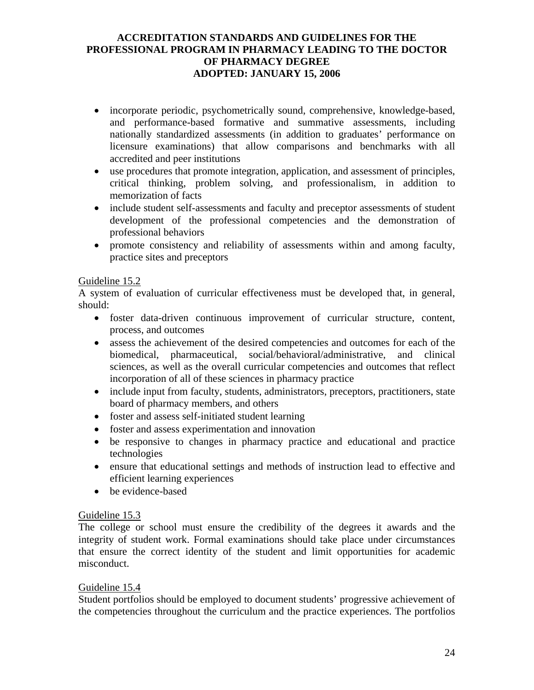- incorporate periodic, psychometrically sound, comprehensive, knowledge-based, and performance-based formative and summative assessments, including nationally standardized assessments (in addition to graduates' performance on licensure examinations) that allow comparisons and benchmarks with all accredited and peer institutions
- use procedures that promote integration, application, and assessment of principles, critical thinking, problem solving, and professionalism, in addition to memorization of facts
- include student self-assessments and faculty and preceptor assessments of student development of the professional competencies and the demonstration of professional behaviors
- promote consistency and reliability of assessments within and among faculty, practice sites and preceptors

## Guideline 15.2

A system of evaluation of curricular effectiveness must be developed that, in general, should:

- foster data-driven continuous improvement of curricular structure, content, process, and outcomes
- assess the achievement of the desired competencies and outcomes for each of the biomedical, pharmaceutical, social/behavioral/administrative, and clinical sciences, as well as the overall curricular competencies and outcomes that reflect incorporation of all of these sciences in pharmacy practice
- include input from faculty, students, administrators, preceptors, practitioners, state board of pharmacy members, and others
- foster and assess self-initiated student learning
- foster and assess experimentation and innovation
- be responsive to changes in pharmacy practice and educational and practice technologies
- ensure that educational settings and methods of instruction lead to effective and efficient learning experiences
- be evidence-based

#### Guideline 15.3

The college or school must ensure the credibility of the degrees it awards and the integrity of student work. Formal examinations should take place under circumstances that ensure the correct identity of the student and limit opportunities for academic misconduct.

#### Guideline 15.4

Student portfolios should be employed to document students' progressive achievement of the competencies throughout the curriculum and the practice experiences. The portfolios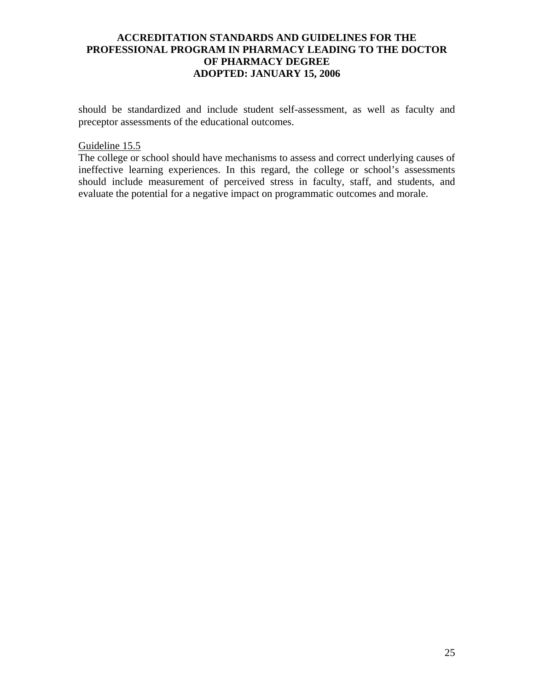should be standardized and include student self-assessment, as well as faculty and preceptor assessments of the educational outcomes.

#### Guideline 15.5

The college or school should have mechanisms to assess and correct underlying causes of ineffective learning experiences. In this regard, the college or school's assessments should include measurement of perceived stress in faculty, staff, and students, and evaluate the potential for a negative impact on programmatic outcomes and morale.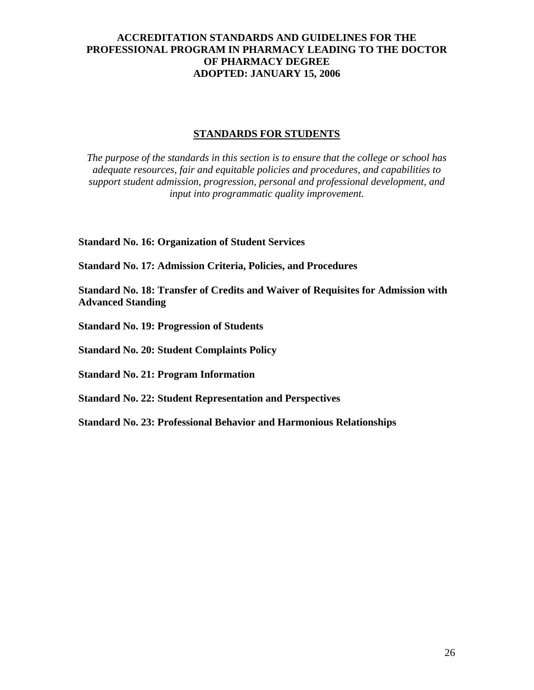### **STANDARDS FOR STUDENTS**

*The purpose of the standards in this section is to ensure that the college or school has adequate resources, fair and equitable policies and procedures, and capabilities to support student admission, progression, personal and professional development, and input into programmatic quality improvement.*

**Standard No. 16: Organization of Student Services** 

**Standard No. 17: Admission Criteria, Policies, and Procedures** 

**Standard No. 18: Transfer of Credits and Waiver of Requisites for Admission with Advanced Standing** 

**Standard No. 19: Progression of Students** 

**Standard No. 20: Student Complaints Policy** 

**Standard No. 21: Program Information** 

**Standard No. 22: Student Representation and Perspectives** 

**Standard No. 23: Professional Behavior and Harmonious Relationships**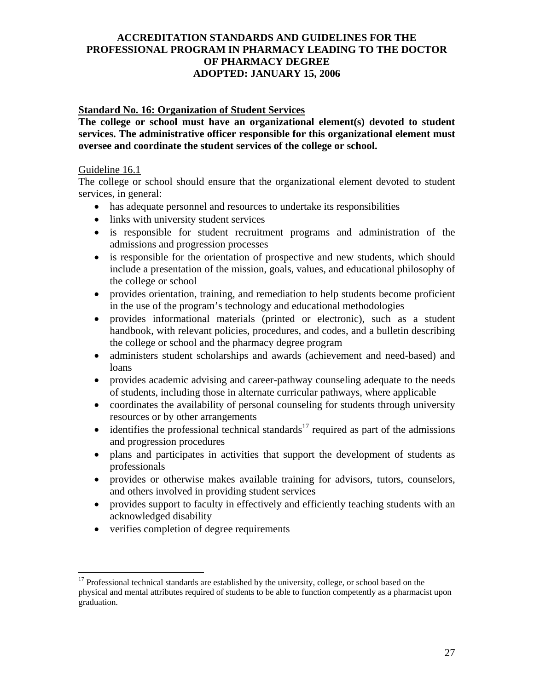### **Standard No. 16: Organization of Student Services**

**The college or school must have an organizational element(s) devoted to student services. The administrative officer responsible for this organizational element must oversee and coordinate the student services of the college or school.** 

#### Guideline 16.1

1

The college or school should ensure that the organizational element devoted to student services, in general:

- has adequate personnel and resources to undertake its responsibilities
- links with university student services
- is responsible for student recruitment programs and administration of the admissions and progression processes
- is responsible for the orientation of prospective and new students, which should include a presentation of the mission, goals, values, and educational philosophy of the college or school
- provides orientation, training, and remediation to help students become proficient in the use of the program's technology and educational methodologies
- provides informational materials (printed or electronic), such as a student handbook, with relevant policies, procedures, and codes, and a bulletin describing the college or school and the pharmacy degree program
- administers student scholarships and awards (achievement and need-based) and loans
- provides academic advising and career-pathway counseling adequate to the needs of students, including those in alternate curricular pathways, where applicable
- coordinates the availability of personal counseling for students through university resources or by other arrangements
- $\bullet$  identifies the professional technical standards<sup>17</sup> required as part of the admissions and progression procedures
- plans and participates in activities that support the development of students as professionals
- provides or otherwise makes available training for advisors, tutors, counselors, and others involved in providing student services
- provides support to faculty in effectively and efficiently teaching students with an acknowledged disability
- verifies completion of degree requirements

<sup>&</sup>lt;sup>17</sup> Professional technical standards are established by the university, college, or school based on the physical and mental attributes required of students to be able to function competently as a pharmacist upon graduation.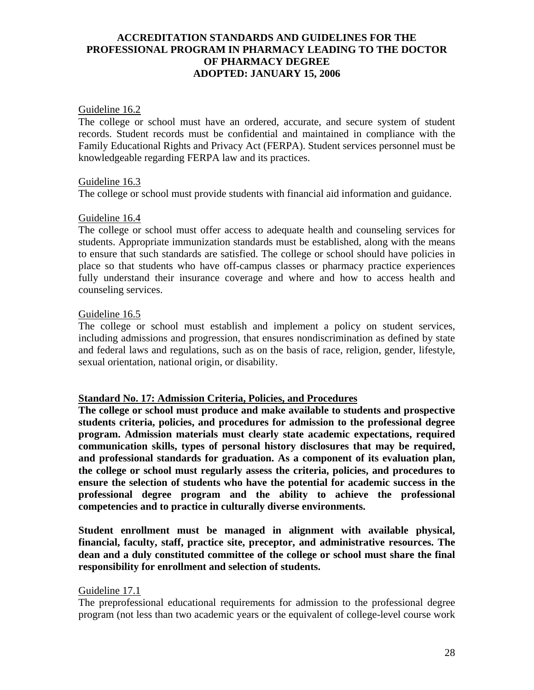#### Guideline 16.2

The college or school must have an ordered, accurate, and secure system of student records. Student records must be confidential and maintained in compliance with the Family Educational Rights and Privacy Act (FERPA). Student services personnel must be knowledgeable regarding FERPA law and its practices.

#### Guideline 16.3

The college or school must provide students with financial aid information and guidance.

#### Guideline 16.4

The college or school must offer access to adequate health and counseling services for students. Appropriate immunization standards must be established, along with the means to ensure that such standards are satisfied. The college or school should have policies in place so that students who have off-campus classes or pharmacy practice experiences fully understand their insurance coverage and where and how to access health and counseling services.

#### Guideline 16.5

The college or school must establish and implement a policy on student services, including admissions and progression, that ensures nondiscrimination as defined by state and federal laws and regulations, such as on the basis of race, religion, gender, lifestyle, sexual orientation, national origin, or disability.

#### **Standard No. 17: Admission Criteria, Policies, and Procedures**

**The college or school must produce and make available to students and prospective students criteria, policies, and procedures for admission to the professional degree program. Admission materials must clearly state academic expectations, required communication skills, types of personal history disclosures that may be required, and professional standards for graduation. As a component of its evaluation plan, the college or school must regularly assess the criteria, policies, and procedures to ensure the selection of students who have the potential for academic success in the professional degree program and the ability to achieve the professional competencies and to practice in culturally diverse environments.** 

**Student enrollment must be managed in alignment with available physical, financial, faculty, staff, practice site, preceptor, and administrative resources. The dean and a duly constituted committee of the college or school must share the final responsibility for enrollment and selection of students.** 

#### Guideline 17.1

The preprofessional educational requirements for admission to the professional degree program (not less than two academic years or the equivalent of college-level course work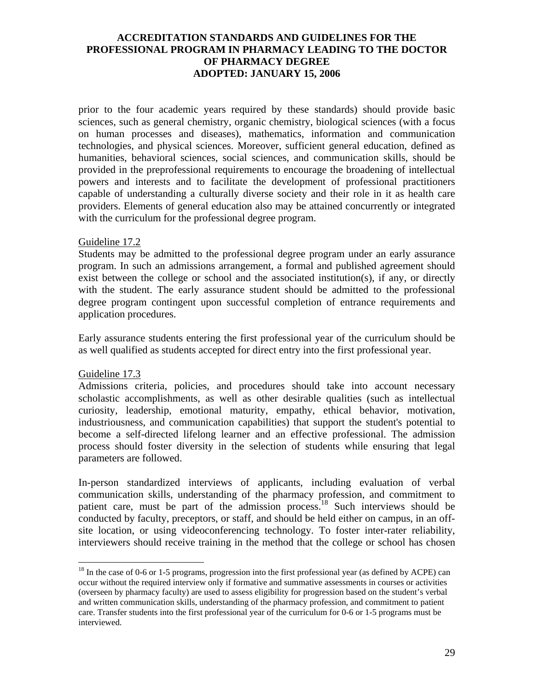prior to the four academic years required by these standards) should provide basic sciences, such as general chemistry, organic chemistry, biological sciences (with a focus on human processes and diseases), mathematics, information and communication technologies, and physical sciences. Moreover, sufficient general education, defined as humanities, behavioral sciences, social sciences, and communication skills, should be provided in the preprofessional requirements to encourage the broadening of intellectual powers and interests and to facilitate the development of professional practitioners capable of understanding a culturally diverse society and their role in it as health care providers. Elements of general education also may be attained concurrently or integrated with the curriculum for the professional degree program.

#### Guideline 17.2

Students may be admitted to the professional degree program under an early assurance program. In such an admissions arrangement, a formal and published agreement should exist between the college or school and the associated institution(s), if any, or directly with the student. The early assurance student should be admitted to the professional degree program contingent upon successful completion of entrance requirements and application procedures.

Early assurance students entering the first professional year of the curriculum should be as well qualified as students accepted for direct entry into the first professional year.

#### Guideline 17.3

 $\overline{a}$ 

Admissions criteria, policies, and procedures should take into account necessary scholastic accomplishments, as well as other desirable qualities (such as intellectual curiosity, leadership, emotional maturity, empathy, ethical behavior, motivation, industriousness, and communication capabilities) that support the student's potential to become a self-directed lifelong learner and an effective professional. The admission process should foster diversity in the selection of students while ensuring that legal parameters are followed.

In-person standardized interviews of applicants, including evaluation of verbal communication skills, understanding of the pharmacy profession, and commitment to patient care, must be part of the admission process.<sup>18</sup> Such interviews should be conducted by faculty, preceptors, or staff, and should be held either on campus, in an offsite location, or using videoconferencing technology. To foster inter-rater reliability, interviewers should receive training in the method that the college or school has chosen

<sup>&</sup>lt;sup>18</sup> In the case of 0-6 or 1-5 programs, progression into the first professional year (as defined by ACPE) can occur without the required interview only if formative and summative assessments in courses or activities (overseen by pharmacy faculty) are used to assess eligibility for progression based on the student's verbal and written communication skills, understanding of the pharmacy profession, and commitment to patient care. Transfer students into the first professional year of the curriculum for 0-6 or 1-5 programs must be interviewed.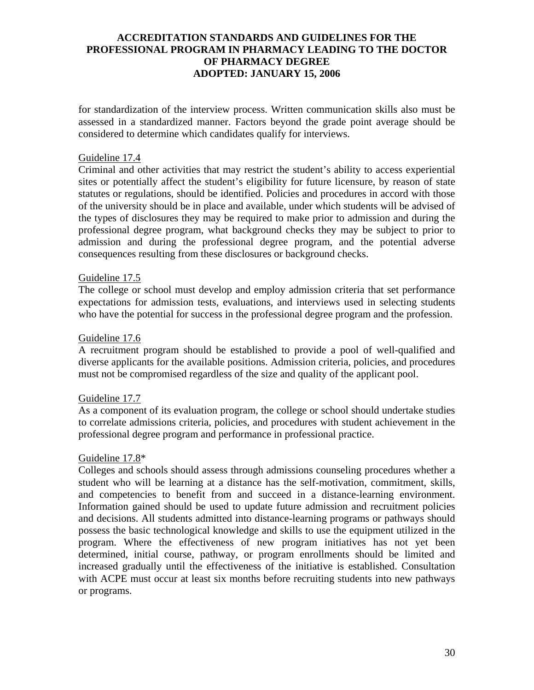for standardization of the interview process. Written communication skills also must be assessed in a standardized manner. Factors beyond the grade point average should be considered to determine which candidates qualify for interviews.

### Guideline 17.4

Criminal and other activities that may restrict the student's ability to access experiential sites or potentially affect the student's eligibility for future licensure, by reason of state statutes or regulations, should be identified. Policies and procedures in accord with those of the university should be in place and available, under which students will be advised of the types of disclosures they may be required to make prior to admission and during the professional degree program, what background checks they may be subject to prior to admission and during the professional degree program, and the potential adverse consequences resulting from these disclosures or background checks.

#### Guideline 17.5

The college or school must develop and employ admission criteria that set performance expectations for admission tests, evaluations, and interviews used in selecting students who have the potential for success in the professional degree program and the profession.

#### Guideline 17.6

A recruitment program should be established to provide a pool of well-qualified and diverse applicants for the available positions. Admission criteria, policies, and procedures must not be compromised regardless of the size and quality of the applicant pool.

### Guideline 17.7

As a component of its evaluation program, the college or school should undertake studies to correlate admissions criteria, policies, and procedures with student achievement in the professional degree program and performance in professional practice.

#### Guideline 17.8\*

Colleges and schools should assess through admissions counseling procedures whether a student who will be learning at a distance has the self-motivation, commitment, skills, and competencies to benefit from and succeed in a distance-learning environment. Information gained should be used to update future admission and recruitment policies and decisions. All students admitted into distance-learning programs or pathways should possess the basic technological knowledge and skills to use the equipment utilized in the program. Where the effectiveness of new program initiatives has not yet been determined, initial course, pathway, or program enrollments should be limited and increased gradually until the effectiveness of the initiative is established. Consultation with ACPE must occur at least six months before recruiting students into new pathways or programs.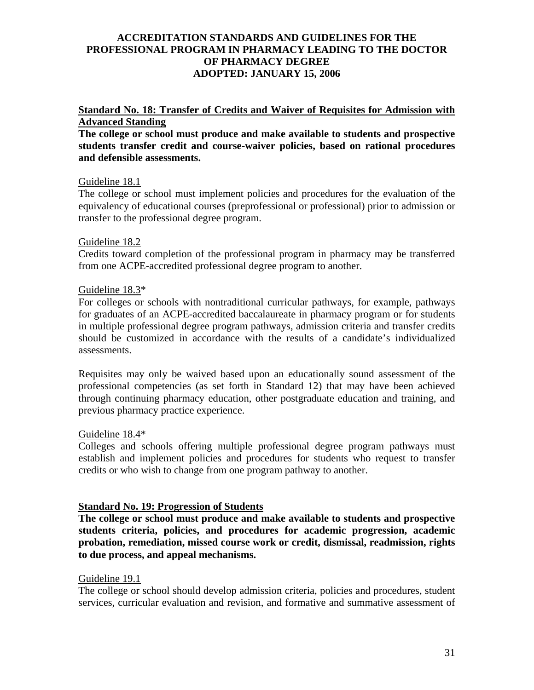### **Standard No. 18: Transfer of Credits and Waiver of Requisites for Admission with Advanced Standing**

**The college or school must produce and make available to students and prospective students transfer credit and course-waiver policies, based on rational procedures and defensible assessments.** 

### Guideline 18.1

The college or school must implement policies and procedures for the evaluation of the equivalency of educational courses (preprofessional or professional) prior to admission or transfer to the professional degree program.

### Guideline 18.2

Credits toward completion of the professional program in pharmacy may be transferred from one ACPE-accredited professional degree program to another.

### Guideline 18.3\*

For colleges or schools with nontraditional curricular pathways, for example, pathways for graduates of an ACPE-accredited baccalaureate in pharmacy program or for students in multiple professional degree program pathways, admission criteria and transfer credits should be customized in accordance with the results of a candidate's individualized assessments.

Requisites may only be waived based upon an educationally sound assessment of the professional competencies (as set forth in Standard 12) that may have been achieved through continuing pharmacy education, other postgraduate education and training, and previous pharmacy practice experience.

### Guideline 18.4\*

Colleges and schools offering multiple professional degree program pathways must establish and implement policies and procedures for students who request to transfer credits or who wish to change from one program pathway to another.

# **Standard No. 19: Progression of Students**

**The college or school must produce and make available to students and prospective students criteria, policies, and procedures for academic progression, academic probation, remediation, missed course work or credit, dismissal, readmission, rights to due process, and appeal mechanisms.** 

### Guideline 19.1

The college or school should develop admission criteria, policies and procedures, student services, curricular evaluation and revision, and formative and summative assessment of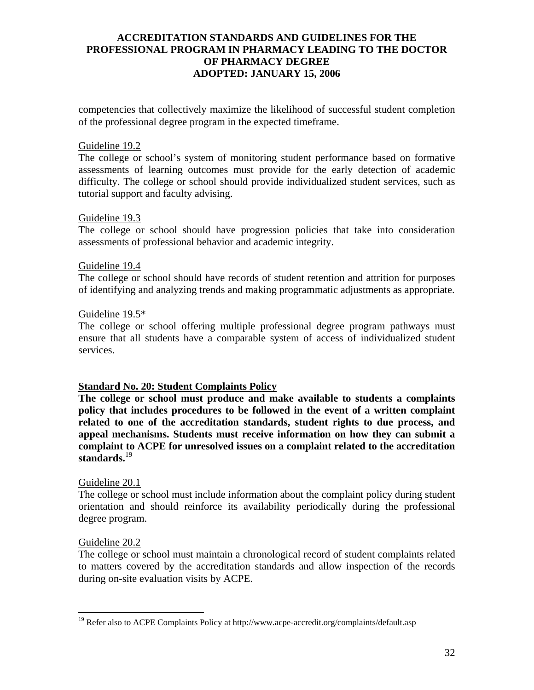competencies that collectively maximize the likelihood of successful student completion of the professional degree program in the expected timeframe.

#### Guideline 19.2

The college or school's system of monitoring student performance based on formative assessments of learning outcomes must provide for the early detection of academic difficulty. The college or school should provide individualized student services, such as tutorial support and faculty advising.

#### Guideline 19.3

The college or school should have progression policies that take into consideration assessments of professional behavior and academic integrity.

#### Guideline 19.4

The college or school should have records of student retention and attrition for purposes of identifying and analyzing trends and making programmatic adjustments as appropriate.

#### Guideline 19.5\*

The college or school offering multiple professional degree program pathways must ensure that all students have a comparable system of access of individualized student services.

#### **Standard No. 20: Student Complaints Policy**

**The college or school must produce and make available to students a complaints policy that includes procedures to be followed in the event of a written complaint related to one of the accreditation standards, student rights to due process, and appeal mechanisms. Students must receive information on how they can submit a complaint to ACPE for unresolved issues on a complaint related to the accreditation standards.**<sup>19</sup>

#### Guideline 20.1

The college or school must include information about the complaint policy during student orientation and should reinforce its availability periodically during the professional degree program.

#### Guideline 20.2

 $\overline{a}$ 

The college or school must maintain a chronological record of student complaints related to matters covered by the accreditation standards and allow inspection of the records during on-site evaluation visits by ACPE.

<sup>&</sup>lt;sup>19</sup> Refer also to ACPE Complaints Policy at http://www.acpe-accredit.org/complaints/default.asp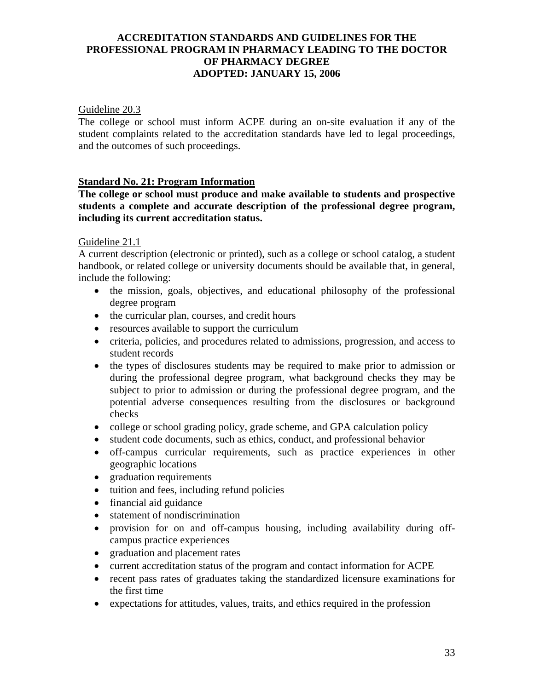### Guideline 20.3

The college or school must inform ACPE during an on-site evaluation if any of the student complaints related to the accreditation standards have led to legal proceedings, and the outcomes of such proceedings.

### **Standard No. 21: Program Information**

**The college or school must produce and make available to students and prospective students a complete and accurate description of the professional degree program, including its current accreditation status.** 

### Guideline 21.1

A current description (electronic or printed), such as a college or school catalog, a student handbook, or related college or university documents should be available that, in general, include the following:

- the mission, goals, objectives, and educational philosophy of the professional degree program
- the curricular plan, courses, and credit hours
- resources available to support the curriculum
- criteria, policies, and procedures related to admissions, progression, and access to student records
- the types of disclosures students may be required to make prior to admission or during the professional degree program, what background checks they may be subject to prior to admission or during the professional degree program, and the potential adverse consequences resulting from the disclosures or background checks
- college or school grading policy, grade scheme, and GPA calculation policy
- student code documents, such as ethics, conduct, and professional behavior
- off-campus curricular requirements, such as practice experiences in other geographic locations
- graduation requirements
- tuition and fees, including refund policies
- financial aid guidance
- statement of nondiscrimination
- provision for on and off-campus housing, including availability during offcampus practice experiences
- graduation and placement rates
- current accreditation status of the program and contact information for ACPE
- recent pass rates of graduates taking the standardized licensure examinations for the first time
- expectations for attitudes, values, traits, and ethics required in the profession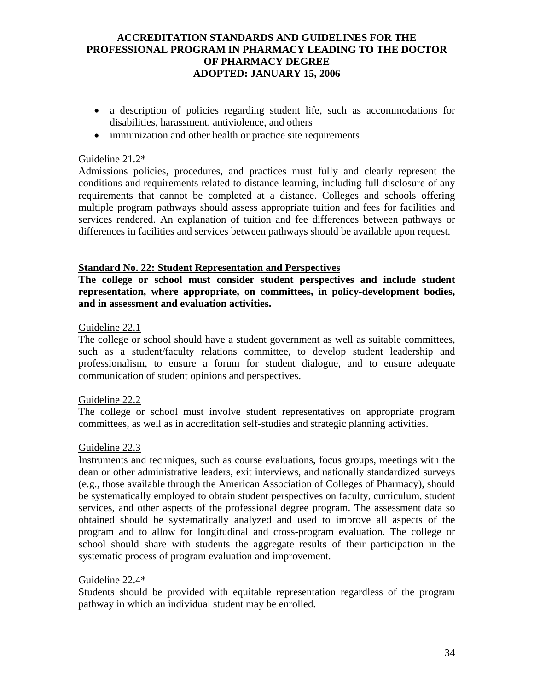- a description of policies regarding student life, such as accommodations for disabilities, harassment, antiviolence, and others
- immunization and other health or practice site requirements

### Guideline 21.2\*

Admissions policies, procedures, and practices must fully and clearly represent the conditions and requirements related to distance learning, including full disclosure of any requirements that cannot be completed at a distance. Colleges and schools offering multiple program pathways should assess appropriate tuition and fees for facilities and services rendered. An explanation of tuition and fee differences between pathways or differences in facilities and services between pathways should be available upon request.

#### **Standard No. 22: Student Representation and Perspectives**

**The college or school must consider student perspectives and include student representation, where appropriate, on committees, in policy-development bodies, and in assessment and evaluation activities.** 

#### Guideline 22.1

The college or school should have a student government as well as suitable committees, such as a student/faculty relations committee, to develop student leadership and professionalism, to ensure a forum for student dialogue, and to ensure adequate communication of student opinions and perspectives.

### Guideline 22.2

The college or school must involve student representatives on appropriate program committees, as well as in accreditation self-studies and strategic planning activities.

### Guideline 22.3

Instruments and techniques, such as course evaluations, focus groups, meetings with the dean or other administrative leaders, exit interviews, and nationally standardized surveys (e.g., those available through the American Association of Colleges of Pharmacy), should be systematically employed to obtain student perspectives on faculty, curriculum, student services, and other aspects of the professional degree program. The assessment data so obtained should be systematically analyzed and used to improve all aspects of the program and to allow for longitudinal and cross-program evaluation. The college or school should share with students the aggregate results of their participation in the systematic process of program evaluation and improvement.

#### Guideline 22.4\*

Students should be provided with equitable representation regardless of the program pathway in which an individual student may be enrolled.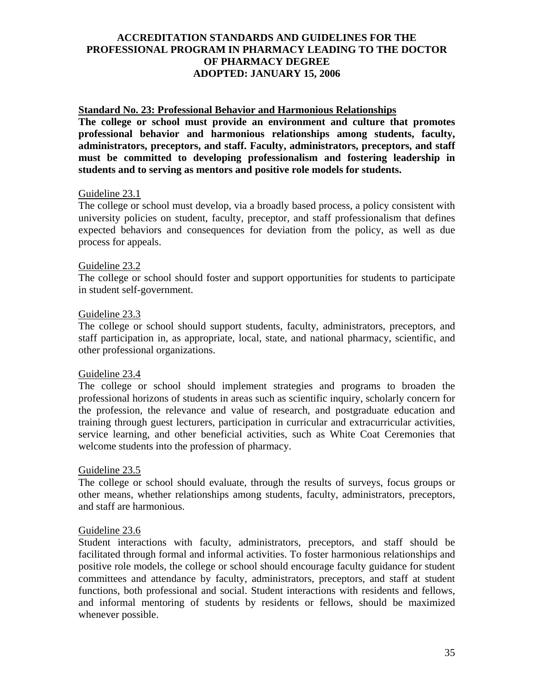### **Standard No. 23: Professional Behavior and Harmonious Relationships**

**The college or school must provide an environment and culture that promotes professional behavior and harmonious relationships among students, faculty, administrators, preceptors, and staff. Faculty, administrators, preceptors, and staff must be committed to developing professionalism and fostering leadership in students and to serving as mentors and positive role models for students.** 

#### Guideline 23.1

The college or school must develop, via a broadly based process, a policy consistent with university policies on student, faculty, preceptor, and staff professionalism that defines expected behaviors and consequences for deviation from the policy, as well as due process for appeals.

#### Guideline 23.2

The college or school should foster and support opportunities for students to participate in student self-government.

#### Guideline 23.3

The college or school should support students, faculty, administrators, preceptors, and staff participation in, as appropriate, local, state, and national pharmacy, scientific, and other professional organizations.

#### Guideline 23.4

The college or school should implement strategies and programs to broaden the professional horizons of students in areas such as scientific inquiry, scholarly concern for the profession, the relevance and value of research, and postgraduate education and training through guest lecturers, participation in curricular and extracurricular activities, service learning, and other beneficial activities, such as White Coat Ceremonies that welcome students into the profession of pharmacy.

#### Guideline 23.5

The college or school should evaluate, through the results of surveys, focus groups or other means, whether relationships among students, faculty, administrators, preceptors, and staff are harmonious.

#### Guideline 23.6

Student interactions with faculty, administrators, preceptors, and staff should be facilitated through formal and informal activities. To foster harmonious relationships and positive role models, the college or school should encourage faculty guidance for student committees and attendance by faculty, administrators, preceptors, and staff at student functions, both professional and social. Student interactions with residents and fellows, and informal mentoring of students by residents or fellows, should be maximized whenever possible.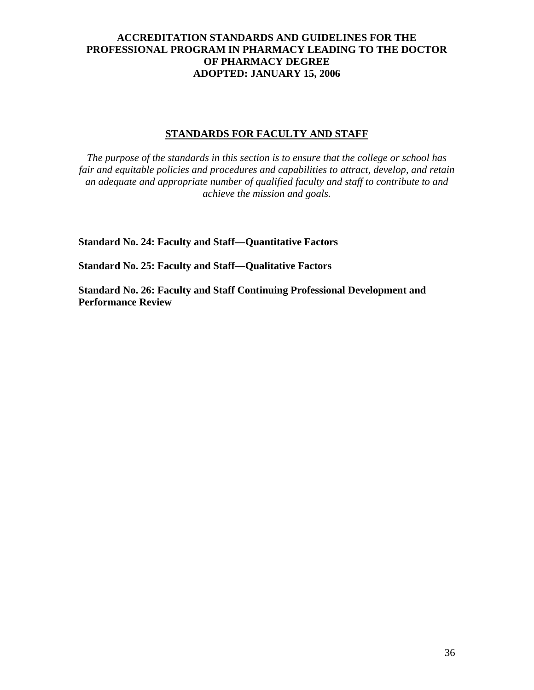### **STANDARDS FOR FACULTY AND STAFF**

*The purpose of the standards in this section is to ensure that the college or school has fair and equitable policies and procedures and capabilities to attract, develop, and retain an adequate and appropriate number of qualified faculty and staff to contribute to and achieve the mission and goals.* 

**Standard No. 24: Faculty and Staff—Quantitative Factors** 

**Standard No. 25: Faculty and Staff—Qualitative Factors** 

**Standard No. 26: Faculty and Staff Continuing Professional Development and Performance Review**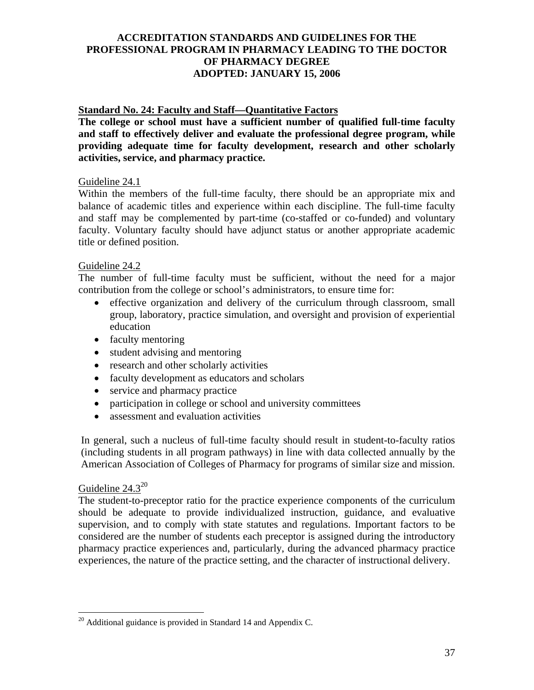# **Standard No. 24: Faculty and Staff—Quantitative Factors**

**The college or school must have a sufficient number of qualified full-time faculty and staff to effectively deliver and evaluate the professional degree program, while providing adequate time for faculty development, research and other scholarly activities, service, and pharmacy practice.** 

### Guideline 24.1

Within the members of the full-time faculty, there should be an appropriate mix and balance of academic titles and experience within each discipline. The full-time faculty and staff may be complemented by part-time (co-staffed or co-funded) and voluntary faculty. Voluntary faculty should have adjunct status or another appropriate academic title or defined position.

#### Guideline 24.2

The number of full-time faculty must be sufficient, without the need for a major contribution from the college or school's administrators, to ensure time for:

- effective organization and delivery of the curriculum through classroom, small group, laboratory, practice simulation, and oversight and provision of experiential education
- faculty mentoring
- student advising and mentoring
- research and other scholarly activities
- faculty development as educators and scholars
- service and pharmacy practice
- participation in college or school and university committees
- assessment and evaluation activities

In general, such a nucleus of full-time faculty should result in student-to-faculty ratios (including students in all program pathways) in line with data collected annually by the American Association of Colleges of Pharmacy for programs of similar size and mission.

# Guideline 24.3<sup>20</sup>

 $\overline{a}$ 

The student-to-preceptor ratio for the practice experience components of the curriculum should be adequate to provide individualized instruction, guidance, and evaluative supervision, and to comply with state statutes and regulations. Important factors to be considered are the number of students each preceptor is assigned during the introductory pharmacy practice experiences and, particularly, during the advanced pharmacy practice experiences, the nature of the practice setting, and the character of instructional delivery.

 $^{20}$  Additional guidance is provided in Standard 14 and Appendix C.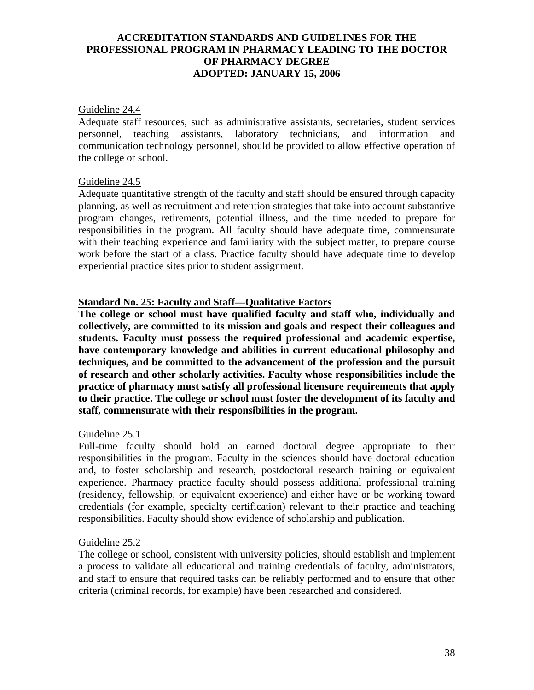#### Guideline 24.4

Adequate staff resources, such as administrative assistants, secretaries, student services personnel, teaching assistants, laboratory technicians, and information and communication technology personnel, should be provided to allow effective operation of the college or school.

### Guideline 24.5

Adequate quantitative strength of the faculty and staff should be ensured through capacity planning, as well as recruitment and retention strategies that take into account substantive program changes, retirements, potential illness, and the time needed to prepare for responsibilities in the program. All faculty should have adequate time, commensurate with their teaching experience and familiarity with the subject matter, to prepare course work before the start of a class. Practice faculty should have adequate time to develop experiential practice sites prior to student assignment.

### **Standard No. 25: Faculty and Staff—Qualitative Factors**

**The college or school must have qualified faculty and staff who, individually and collectively, are committed to its mission and goals and respect their colleagues and students. Faculty must possess the required professional and academic expertise, have contemporary knowledge and abilities in current educational philosophy and techniques, and be committed to the advancement of the profession and the pursuit of research and other scholarly activities. Faculty whose responsibilities include the practice of pharmacy must satisfy all professional licensure requirements that apply to their practice. The college or school must foster the development of its faculty and staff, commensurate with their responsibilities in the program.** 

### Guideline 25.1

Full-time faculty should hold an earned doctoral degree appropriate to their responsibilities in the program. Faculty in the sciences should have doctoral education and, to foster scholarship and research, postdoctoral research training or equivalent experience. Pharmacy practice faculty should possess additional professional training (residency, fellowship, or equivalent experience) and either have or be working toward credentials (for example, specialty certification) relevant to their practice and teaching responsibilities. Faculty should show evidence of scholarship and publication.

#### Guideline 25.2

The college or school, consistent with university policies, should establish and implement a process to validate all educational and training credentials of faculty, administrators, and staff to ensure that required tasks can be reliably performed and to ensure that other criteria (criminal records, for example) have been researched and considered.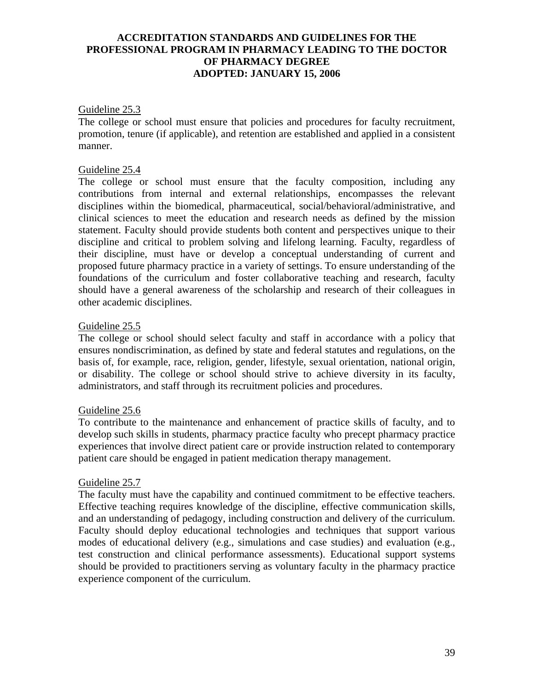#### Guideline 25.3

The college or school must ensure that policies and procedures for faculty recruitment, promotion, tenure (if applicable), and retention are established and applied in a consistent manner.

#### Guideline 25.4

The college or school must ensure that the faculty composition, including any contributions from internal and external relationships, encompasses the relevant disciplines within the biomedical, pharmaceutical, social/behavioral/administrative, and clinical sciences to meet the education and research needs as defined by the mission statement. Faculty should provide students both content and perspectives unique to their discipline and critical to problem solving and lifelong learning. Faculty, regardless of their discipline, must have or develop a conceptual understanding of current and proposed future pharmacy practice in a variety of settings. To ensure understanding of the foundations of the curriculum and foster collaborative teaching and research, faculty should have a general awareness of the scholarship and research of their colleagues in other academic disciplines.

#### Guideline 25.5

The college or school should select faculty and staff in accordance with a policy that ensures nondiscrimination, as defined by state and federal statutes and regulations, on the basis of, for example, race, religion, gender, lifestyle, sexual orientation, national origin, or disability. The college or school should strive to achieve diversity in its faculty, administrators, and staff through its recruitment policies and procedures.

#### Guideline 25.6

To contribute to the maintenance and enhancement of practice skills of faculty, and to develop such skills in students, pharmacy practice faculty who precept pharmacy practice experiences that involve direct patient care or provide instruction related to contemporary patient care should be engaged in patient medication therapy management.

#### Guideline 25.7

The faculty must have the capability and continued commitment to be effective teachers. Effective teaching requires knowledge of the discipline, effective communication skills, and an understanding of pedagogy, including construction and delivery of the curriculum. Faculty should deploy educational technologies and techniques that support various modes of educational delivery (e.g., simulations and case studies) and evaluation (e.g., test construction and clinical performance assessments). Educational support systems should be provided to practitioners serving as voluntary faculty in the pharmacy practice experience component of the curriculum.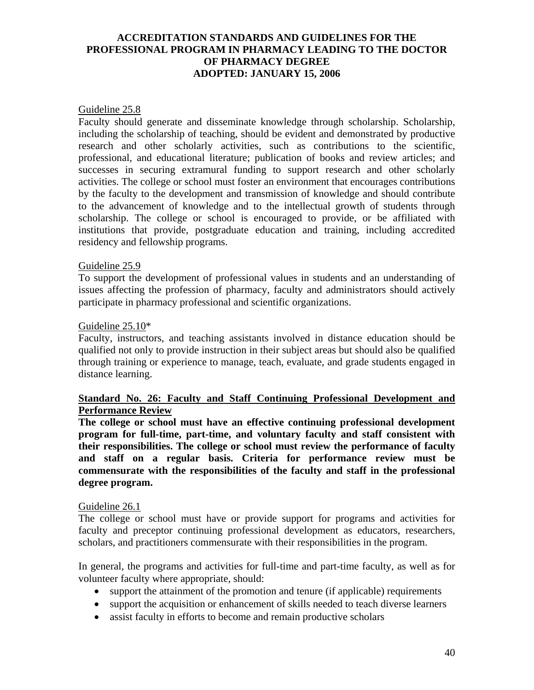#### Guideline 25.8

Faculty should generate and disseminate knowledge through scholarship. Scholarship, including the scholarship of teaching, should be evident and demonstrated by productive research and other scholarly activities, such as contributions to the scientific, professional, and educational literature; publication of books and review articles; and successes in securing extramural funding to support research and other scholarly activities. The college or school must foster an environment that encourages contributions by the faculty to the development and transmission of knowledge and should contribute to the advancement of knowledge and to the intellectual growth of students through scholarship. The college or school is encouraged to provide, or be affiliated with institutions that provide, postgraduate education and training, including accredited residency and fellowship programs.

#### Guideline 25.9

To support the development of professional values in students and an understanding of issues affecting the profession of pharmacy, faculty and administrators should actively participate in pharmacy professional and scientific organizations.

#### Guideline 25.10\*

Faculty, instructors, and teaching assistants involved in distance education should be qualified not only to provide instruction in their subject areas but should also be qualified through training or experience to manage, teach, evaluate, and grade students engaged in distance learning.

### **Standard No. 26: Faculty and Staff Continuing Professional Development and Performance Review**

**The college or school must have an effective continuing professional development program for full-time, part-time, and voluntary faculty and staff consistent with their responsibilities. The college or school must review the performance of faculty and staff on a regular basis. Criteria for performance review must be commensurate with the responsibilities of the faculty and staff in the professional degree program.** 

#### Guideline 26.1

The college or school must have or provide support for programs and activities for faculty and preceptor continuing professional development as educators, researchers, scholars, and practitioners commensurate with their responsibilities in the program.

In general, the programs and activities for full-time and part-time faculty, as well as for volunteer faculty where appropriate, should:

- support the attainment of the promotion and tenure (if applicable) requirements
- support the acquisition or enhancement of skills needed to teach diverse learners
- assist faculty in efforts to become and remain productive scholars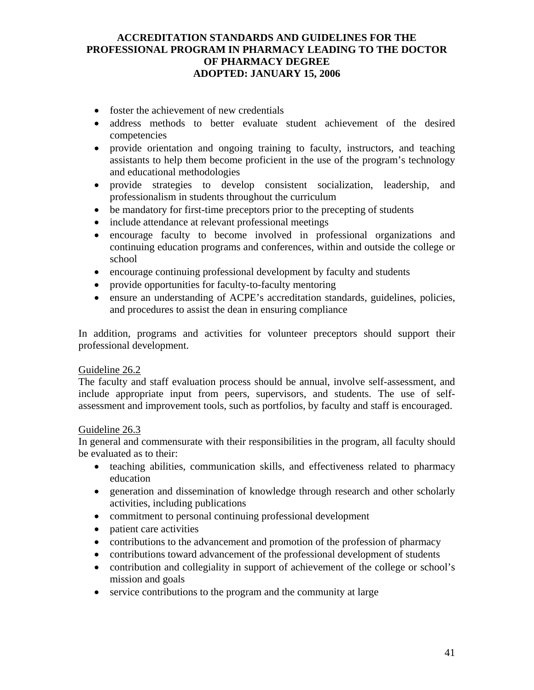- foster the achievement of new credentials
- address methods to better evaluate student achievement of the desired competencies
- provide orientation and ongoing training to faculty, instructors, and teaching assistants to help them become proficient in the use of the program's technology and educational methodologies
- provide strategies to develop consistent socialization, leadership, and professionalism in students throughout the curriculum
- be mandatory for first-time preceptors prior to the precepting of students
- include attendance at relevant professional meetings
- encourage faculty to become involved in professional organizations and continuing education programs and conferences, within and outside the college or school
- encourage continuing professional development by faculty and students
- provide opportunities for faculty-to-faculty mentoring
- ensure an understanding of ACPE's accreditation standards, guidelines, policies, and procedures to assist the dean in ensuring compliance

In addition, programs and activities for volunteer preceptors should support their professional development.

### Guideline 26.2

The faculty and staff evaluation process should be annual, involve self-assessment, and include appropriate input from peers, supervisors, and students. The use of selfassessment and improvement tools, such as portfolios, by faculty and staff is encouraged.

### Guideline 26.3

In general and commensurate with their responsibilities in the program, all faculty should be evaluated as to their:

- teaching abilities, communication skills, and effectiveness related to pharmacy education
- generation and dissemination of knowledge through research and other scholarly activities, including publications
- commitment to personal continuing professional development
- patient care activities
- contributions to the advancement and promotion of the profession of pharmacy
- contributions toward advancement of the professional development of students
- contribution and collegiality in support of achievement of the college or school's mission and goals
- service contributions to the program and the community at large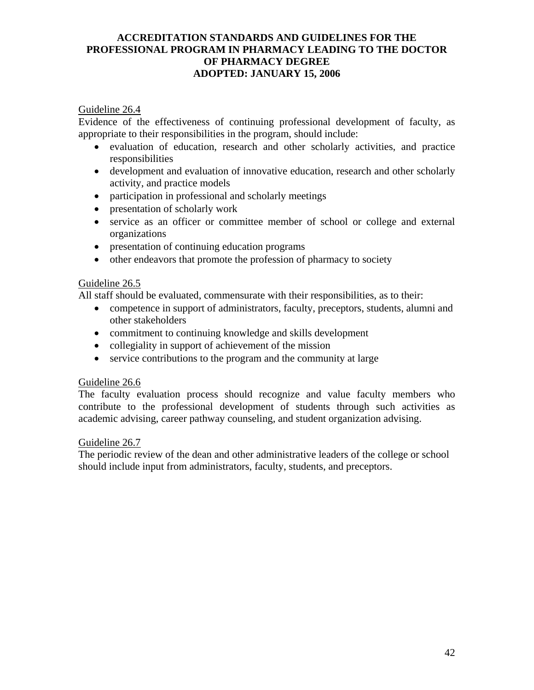### Guideline 26.4

Evidence of the effectiveness of continuing professional development of faculty, as appropriate to their responsibilities in the program, should include:

- evaluation of education, research and other scholarly activities, and practice responsibilities
- development and evaluation of innovative education, research and other scholarly activity, and practice models
- participation in professional and scholarly meetings
- presentation of scholarly work
- service as an officer or committee member of school or college and external organizations
- presentation of continuing education programs
- other endeavors that promote the profession of pharmacy to society

#### Guideline 26.5

All staff should be evaluated, commensurate with their responsibilities, as to their:

- competence in support of administrators, faculty, preceptors, students, alumni and other stakeholders
- commitment to continuing knowledge and skills development
- collegiality in support of achievement of the mission
- service contributions to the program and the community at large

### Guideline 26.6

The faculty evaluation process should recognize and value faculty members who contribute to the professional development of students through such activities as academic advising, career pathway counseling, and student organization advising.

### Guideline 26.7

The periodic review of the dean and other administrative leaders of the college or school should include input from administrators, faculty, students, and preceptors.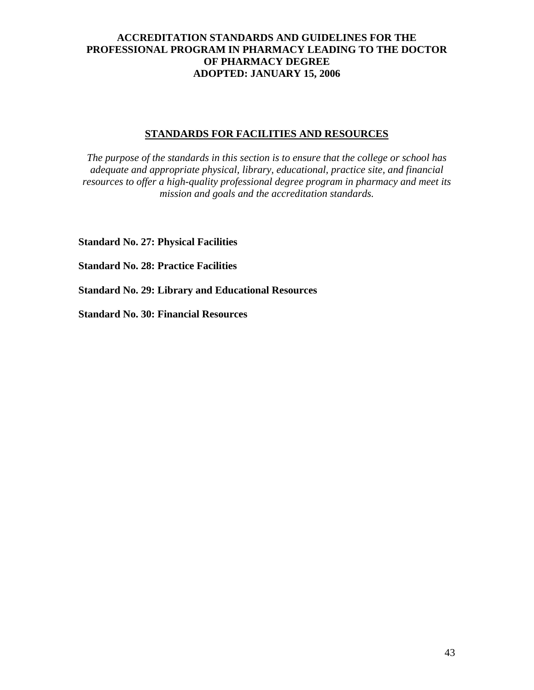### **STANDARDS FOR FACILITIES AND RESOURCES**

*The purpose of the standards in this section is to ensure that the college or school has adequate and appropriate physical, library, educational, practice site, and financial resources to offer a high-quality professional degree program in pharmacy and meet its mission and goals and the accreditation standards.*

**Standard No. 27: Physical Facilities** 

**Standard No. 28: Practice Facilities** 

**Standard No. 29: Library and Educational Resources** 

**Standard No. 30: Financial Resources**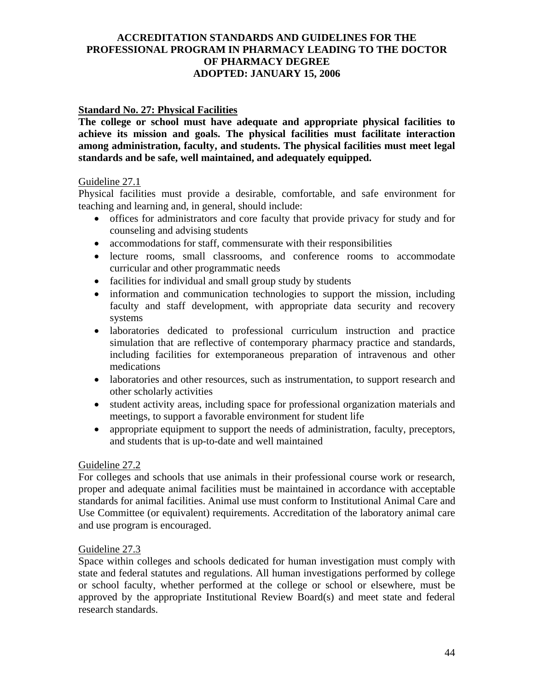### **Standard No. 27: Physical Facilities**

**The college or school must have adequate and appropriate physical facilities to achieve its mission and goals. The physical facilities must facilitate interaction among administration, faculty, and students. The physical facilities must meet legal standards and be safe, well maintained, and adequately equipped.** 

### Guideline 27.1

Physical facilities must provide a desirable, comfortable, and safe environment for teaching and learning and, in general, should include:

- offices for administrators and core faculty that provide privacy for study and for counseling and advising students
- accommodations for staff, commensurate with their responsibilities
- lecture rooms, small classrooms, and conference rooms to accommodate curricular and other programmatic needs
- facilities for individual and small group study by students
- information and communication technologies to support the mission, including faculty and staff development, with appropriate data security and recovery systems
- laboratories dedicated to professional curriculum instruction and practice simulation that are reflective of contemporary pharmacy practice and standards, including facilities for extemporaneous preparation of intravenous and other medications
- laboratories and other resources, such as instrumentation, to support research and other scholarly activities
- student activity areas, including space for professional organization materials and meetings, to support a favorable environment for student life
- appropriate equipment to support the needs of administration, faculty, preceptors, and students that is up-to-date and well maintained

### Guideline 27.2

For colleges and schools that use animals in their professional course work or research, proper and adequate animal facilities must be maintained in accordance with acceptable standards for animal facilities. Animal use must conform to Institutional Animal Care and Use Committee (or equivalent) requirements. Accreditation of the laboratory animal care and use program is encouraged.

### Guideline 27.3

Space within colleges and schools dedicated for human investigation must comply with state and federal statutes and regulations. All human investigations performed by college or school faculty, whether performed at the college or school or elsewhere, must be approved by the appropriate Institutional Review Board(s) and meet state and federal research standards.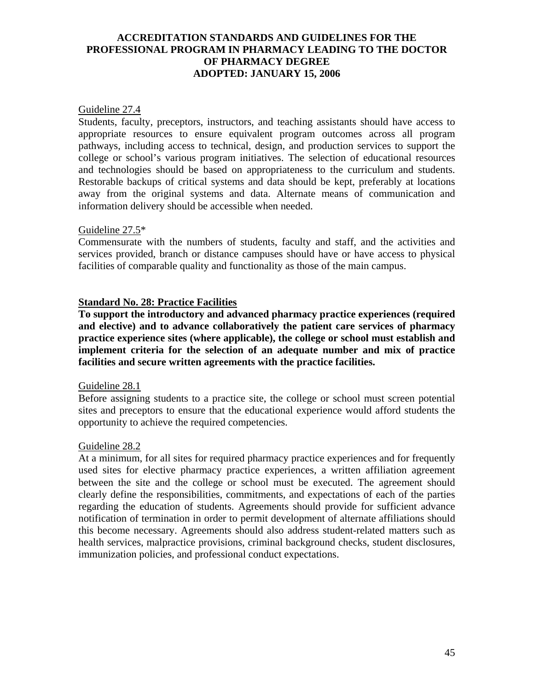#### Guideline 27.4

Students, faculty, preceptors, instructors, and teaching assistants should have access to appropriate resources to ensure equivalent program outcomes across all program pathways, including access to technical, design, and production services to support the college or school's various program initiatives. The selection of educational resources and technologies should be based on appropriateness to the curriculum and students. Restorable backups of critical systems and data should be kept, preferably at locations away from the original systems and data. Alternate means of communication and information delivery should be accessible when needed.

#### Guideline 27.5\*

Commensurate with the numbers of students, faculty and staff, and the activities and services provided, branch or distance campuses should have or have access to physical facilities of comparable quality and functionality as those of the main campus.

### **Standard No. 28: Practice Facilities**

**To support the introductory and advanced pharmacy practice experiences (required and elective) and to advance collaboratively the patient care services of pharmacy practice experience sites (where applicable), the college or school must establish and implement criteria for the selection of an adequate number and mix of practice facilities and secure written agreements with the practice facilities.** 

#### Guideline 28.1

Before assigning students to a practice site, the college or school must screen potential sites and preceptors to ensure that the educational experience would afford students the opportunity to achieve the required competencies.

#### Guideline 28.2

At a minimum, for all sites for required pharmacy practice experiences and for frequently used sites for elective pharmacy practice experiences, a written affiliation agreement between the site and the college or school must be executed. The agreement should clearly define the responsibilities, commitments, and expectations of each of the parties regarding the education of students. Agreements should provide for sufficient advance notification of termination in order to permit development of alternate affiliations should this become necessary. Agreements should also address student-related matters such as health services, malpractice provisions, criminal background checks, student disclosures, immunization policies, and professional conduct expectations.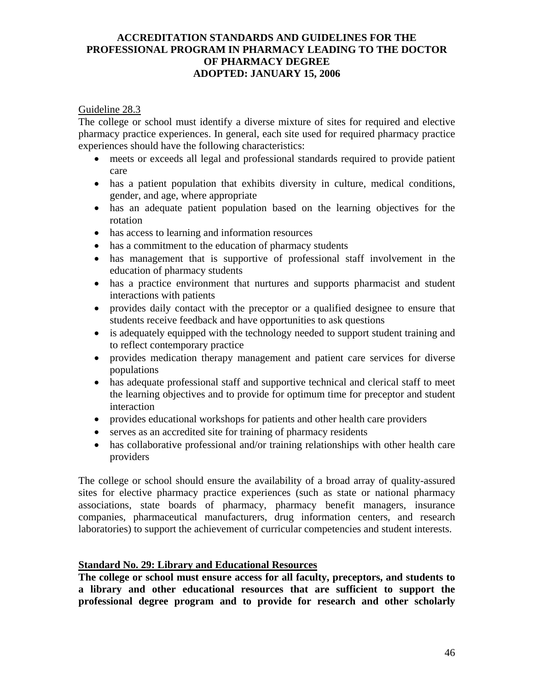### Guideline 28.3

The college or school must identify a diverse mixture of sites for required and elective pharmacy practice experiences. In general, each site used for required pharmacy practice experiences should have the following characteristics:

- meets or exceeds all legal and professional standards required to provide patient care
- has a patient population that exhibits diversity in culture, medical conditions, gender, and age, where appropriate
- has an adequate patient population based on the learning objectives for the rotation
- has access to learning and information resources
- has a commitment to the education of pharmacy students
- has management that is supportive of professional staff involvement in the education of pharmacy students
- has a practice environment that nurtures and supports pharmacist and student interactions with patients
- provides daily contact with the preceptor or a qualified designee to ensure that students receive feedback and have opportunities to ask questions
- is adequately equipped with the technology needed to support student training and to reflect contemporary practice
- provides medication therapy management and patient care services for diverse populations
- has adequate professional staff and supportive technical and clerical staff to meet the learning objectives and to provide for optimum time for preceptor and student interaction
- provides educational workshops for patients and other health care providers
- serves as an accredited site for training of pharmacy residents
- has collaborative professional and/or training relationships with other health care providers

The college or school should ensure the availability of a broad array of quality-assured sites for elective pharmacy practice experiences (such as state or national pharmacy associations, state boards of pharmacy, pharmacy benefit managers, insurance companies, pharmaceutical manufacturers, drug information centers, and research laboratories) to support the achievement of curricular competencies and student interests.

# **Standard No. 29: Library and Educational Resources**

**The college or school must ensure access for all faculty, preceptors, and students to a library and other educational resources that are sufficient to support the professional degree program and to provide for research and other scholarly**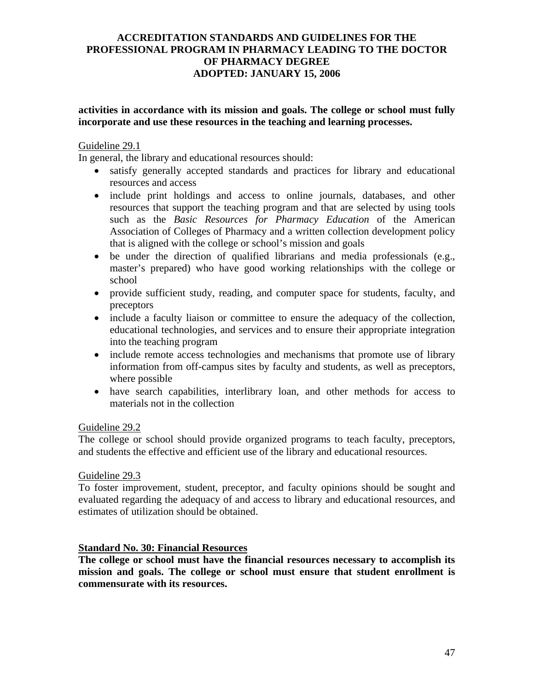### **activities in accordance with its mission and goals. The college or school must fully incorporate and use these resources in the teaching and learning processes.**

### Guideline 29.1

In general, the library and educational resources should:

- satisfy generally accepted standards and practices for library and educational resources and access
- include print holdings and access to online journals, databases, and other resources that support the teaching program and that are selected by using tools such as the *Basic Resources for Pharmacy Education* of the American Association of Colleges of Pharmacy and a written collection development policy that is aligned with the college or school's mission and goals
- be under the direction of qualified librarians and media professionals (e.g., master's prepared) who have good working relationships with the college or school
- provide sufficient study, reading, and computer space for students, faculty, and preceptors
- include a faculty liaison or committee to ensure the adequacy of the collection, educational technologies, and services and to ensure their appropriate integration into the teaching program
- include remote access technologies and mechanisms that promote use of library information from off-campus sites by faculty and students, as well as preceptors, where possible
- have search capabilities, interlibrary loan, and other methods for access to materials not in the collection

### Guideline 29.2

The college or school should provide organized programs to teach faculty, preceptors, and students the effective and efficient use of the library and educational resources.

### Guideline 29.3

To foster improvement, student, preceptor, and faculty opinions should be sought and evaluated regarding the adequacy of and access to library and educational resources, and estimates of utilization should be obtained.

### **Standard No. 30: Financial Resources**

**The college or school must have the financial resources necessary to accomplish its mission and goals. The college or school must ensure that student enrollment is commensurate with its resources.**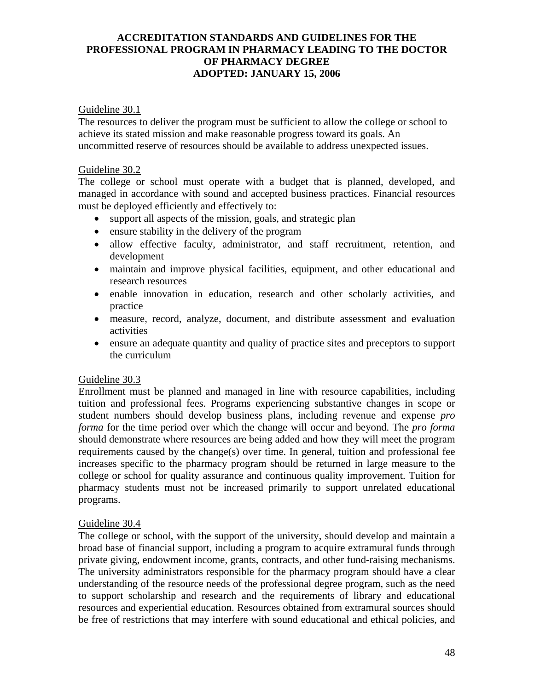### Guideline 30.1

The resources to deliver the program must be sufficient to allow the college or school to achieve its stated mission and make reasonable progress toward its goals. An uncommitted reserve of resources should be available to address unexpected issues.

#### Guideline 30.2

The college or school must operate with a budget that is planned, developed, and managed in accordance with sound and accepted business practices. Financial resources must be deployed efficiently and effectively to:

- support all aspects of the mission, goals, and strategic plan
- ensure stability in the delivery of the program
- allow effective faculty, administrator, and staff recruitment, retention, and development
- maintain and improve physical facilities, equipment, and other educational and research resources
- enable innovation in education, research and other scholarly activities, and practice
- measure, record, analyze, document, and distribute assessment and evaluation activities
- ensure an adequate quantity and quality of practice sites and preceptors to support the curriculum

### Guideline 30.3

Enrollment must be planned and managed in line with resource capabilities, including tuition and professional fees. Programs experiencing substantive changes in scope or student numbers should develop business plans, including revenue and expense *pro forma* for the time period over which the change will occur and beyond. The *pro forma* should demonstrate where resources are being added and how they will meet the program requirements caused by the change(s) over time. In general, tuition and professional fee increases specific to the pharmacy program should be returned in large measure to the college or school for quality assurance and continuous quality improvement. Tuition for pharmacy students must not be increased primarily to support unrelated educational programs.

### Guideline 30.4

The college or school, with the support of the university, should develop and maintain a broad base of financial support, including a program to acquire extramural funds through private giving, endowment income, grants, contracts, and other fund-raising mechanisms. The university administrators responsible for the pharmacy program should have a clear understanding of the resource needs of the professional degree program, such as the need to support scholarship and research and the requirements of library and educational resources and experiential education. Resources obtained from extramural sources should be free of restrictions that may interfere with sound educational and ethical policies, and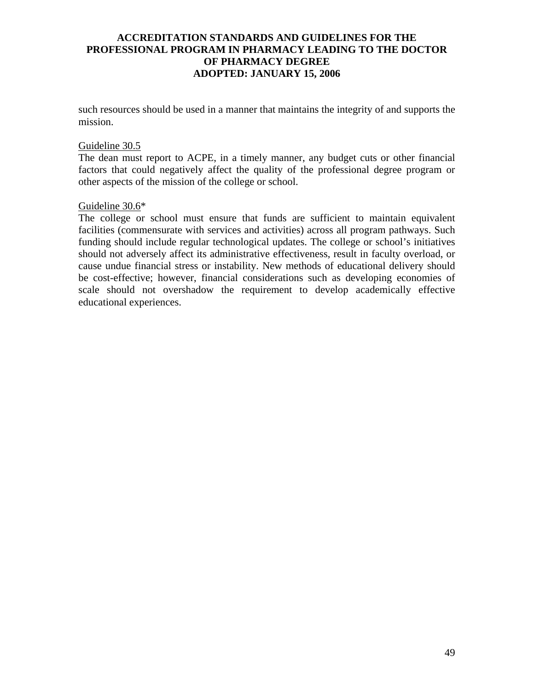such resources should be used in a manner that maintains the integrity of and supports the mission.

#### Guideline 30.5

The dean must report to ACPE, in a timely manner, any budget cuts or other financial factors that could negatively affect the quality of the professional degree program or other aspects of the mission of the college or school.

#### Guideline 30.6\*

The college or school must ensure that funds are sufficient to maintain equivalent facilities (commensurate with services and activities) across all program pathways. Such funding should include regular technological updates. The college or school's initiatives should not adversely affect its administrative effectiveness, result in faculty overload, or cause undue financial stress or instability. New methods of educational delivery should be cost-effective; however, financial considerations such as developing economies of scale should not overshadow the requirement to develop academically effective educational experiences.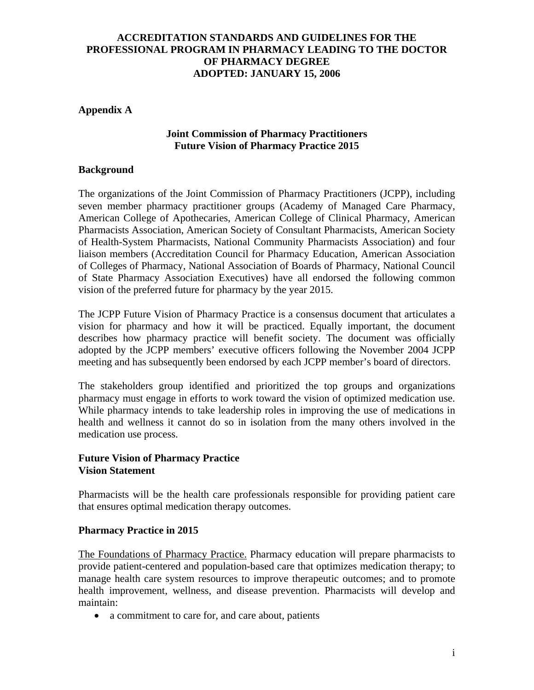### **Appendix A**

### **Joint Commission of Pharmacy Practitioners Future Vision of Pharmacy Practice 2015**

#### **Background**

The organizations of the Joint Commission of Pharmacy Practitioners (JCPP), including seven member pharmacy practitioner groups (Academy of Managed Care Pharmacy, American College of Apothecaries, American College of Clinical Pharmacy, American Pharmacists Association, American Society of Consultant Pharmacists, American Society of Health-System Pharmacists, National Community Pharmacists Association) and four liaison members (Accreditation Council for Pharmacy Education, American Association of Colleges of Pharmacy, National Association of Boards of Pharmacy, National Council of State Pharmacy Association Executives) have all endorsed the following common vision of the preferred future for pharmacy by the year 2015.

The JCPP Future Vision of Pharmacy Practice is a consensus document that articulates a vision for pharmacy and how it will be practiced. Equally important, the document describes how pharmacy practice will benefit society. The document was officially adopted by the JCPP members' executive officers following the November 2004 JCPP meeting and has subsequently been endorsed by each JCPP member's board of directors.

The stakeholders group identified and prioritized the top groups and organizations pharmacy must engage in efforts to work toward the vision of optimized medication use. While pharmacy intends to take leadership roles in improving the use of medications in health and wellness it cannot do so in isolation from the many others involved in the medication use process.

### **Future Vision of Pharmacy Practice Vision Statement**

Pharmacists will be the health care professionals responsible for providing patient care that ensures optimal medication therapy outcomes.

#### **Pharmacy Practice in 2015**

The Foundations of Pharmacy Practice. Pharmacy education will prepare pharmacists to provide patient-centered and population-based care that optimizes medication therapy; to manage health care system resources to improve therapeutic outcomes; and to promote health improvement, wellness, and disease prevention. Pharmacists will develop and maintain:

• a commitment to care for, and care about, patients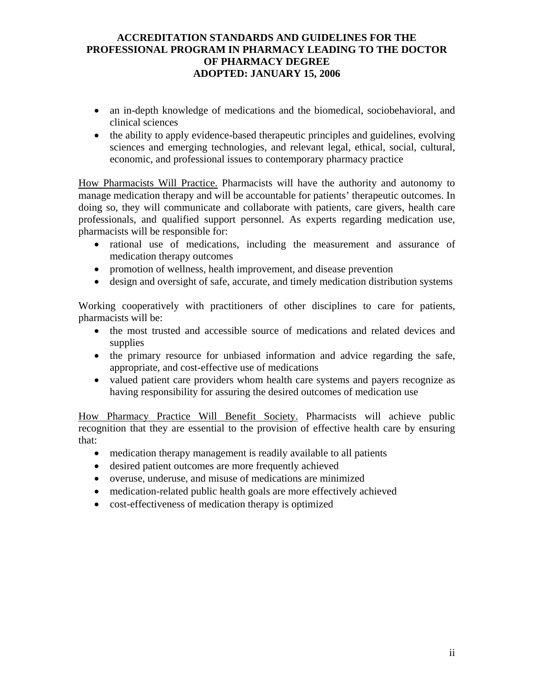- an in-depth knowledge of medications and the biomedical, sociobehavioral, and clinical sciences
- the ability to apply evidence-based therapeutic principles and guidelines, evolving sciences and emerging technologies, and relevant legal, ethical, social, cultural, economic, and professional issues to contemporary pharmacy practice

How Pharmacists Will Practice. Pharmacists will have the authority and autonomy to manage medication therapy and will be accountable for patients' therapeutic outcomes. In doing so, they will communicate and collaborate with patients, care givers, health care professionals, and qualified support personnel. As experts regarding medication use, pharmacists will be responsible for:

- rational use of medications, including the measurement and assurance of medication therapy outcomes
- promotion of wellness, health improvement, and disease prevention
- design and oversight of safe, accurate, and timely medication distribution systems

Working cooperatively with practitioners of other disciplines to care for patients, pharmacists will be:

- the most trusted and accessible source of medications and related devices and supplies
- the primary resource for unbiased information and advice regarding the safe, appropriate, and cost-effective use of medications
- valued patient care providers whom health care systems and payers recognize as having responsibility for assuring the desired outcomes of medication use

How Pharmacy Practice Will Benefit Society. Pharmacists will achieve public recognition that they are essential to the provision of effective health care by ensuring that:

- medication therapy management is readily available to all patients
- desired patient outcomes are more frequently achieved
- overuse, underuse, and misuse of medications are minimized
- medication-related public health goals are more effectively achieved
- cost-effectiveness of medication therapy is optimized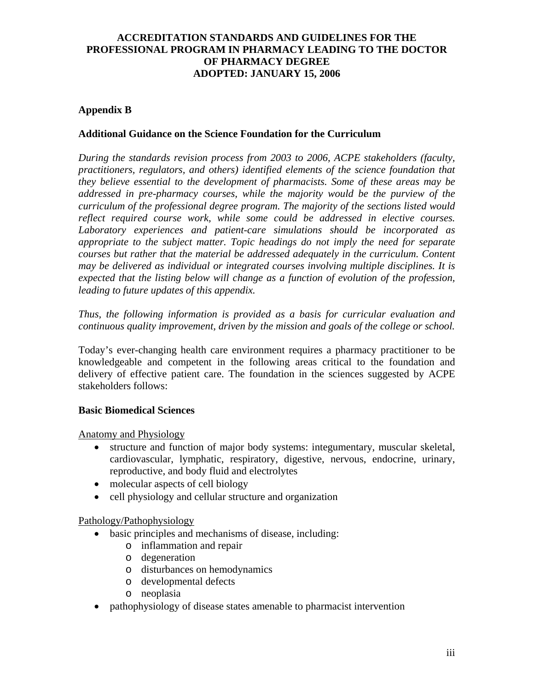# **Appendix B**

### **Additional Guidance on the Science Foundation for the Curriculum**

*During the standards revision process from 2003 to 2006, ACPE stakeholders (faculty, practitioners, regulators, and others) identified elements of the science foundation that they believe essential to the development of pharmacists. Some of these areas may be*  addressed in pre-pharmacy courses, while the majority would be the purview of the *curriculum of the professional degree program. The majority of the sections listed would reflect required course work, while some could be addressed in elective courses. Laboratory experiences and patient-care simulations should be incorporated as appropriate to the subject matter. Topic headings do not imply the need for separate courses but rather that the material be addressed adequately in the curriculum. Content may be delivered as individual or integrated courses involving multiple disciplines. It is expected that the listing below will change as a function of evolution of the profession, leading to future updates of this appendix.* 

*Thus, the following information is provided as a basis for curricular evaluation and continuous quality improvement, driven by the mission and goals of the college or school.* 

Today's ever-changing health care environment requires a pharmacy practitioner to be knowledgeable and competent in the following areas critical to the foundation and delivery of effective patient care. The foundation in the sciences suggested by ACPE stakeholders follows:

### **Basic Biomedical Sciences**

Anatomy and Physiology

- structure and function of major body systems: integumentary, muscular skeletal, cardiovascular, lymphatic, respiratory, digestive, nervous, endocrine, urinary, reproductive, and body fluid and electrolytes
- molecular aspects of cell biology
- cell physiology and cellular structure and organization

### Pathology/Pathophysiology

- basic principles and mechanisms of disease, including:
	- o inflammation and repair
	- o degeneration
	- o disturbances on hemodynamics
	- o developmental defects
	- o neoplasia
- pathophysiology of disease states amenable to pharmacist intervention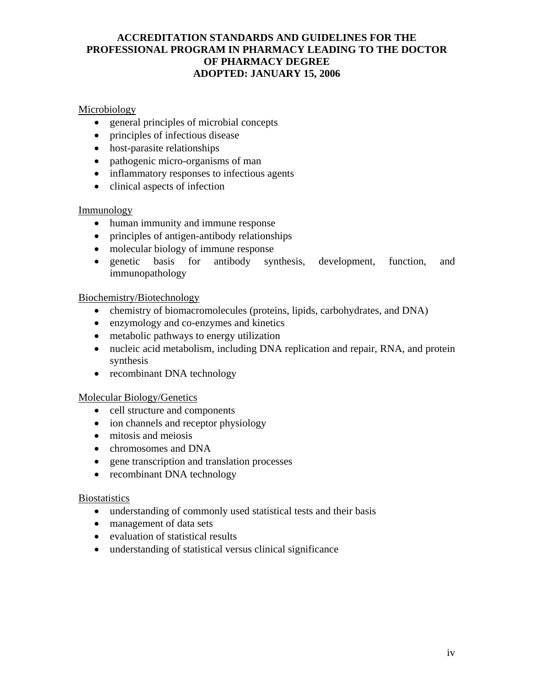# Microbiology

- general principles of microbial concepts
- principles of infectious disease
- host-parasite relationships
- pathogenic micro-organisms of man
- inflammatory responses to infectious agents
- clinical aspects of infection

### Immunology

- human immunity and immune response
- principles of antigen-antibody relationships
- molecular biology of immune response
- genetic basis for antibody synthesis, development, function, and immunopathology

### Biochemistry/Biotechnology

- chemistry of biomacromolecules (proteins, lipids, carbohydrates, and DNA)
- enzymology and co-enzymes and kinetics
- metabolic pathways to energy utilization
- nucleic acid metabolism, including DNA replication and repair, RNA, and protein synthesis
- recombinant DNA technology

### Molecular Biology/Genetics

- cell structure and components
- ion channels and receptor physiology
- mitosis and meiosis
- chromosomes and DNA
- gene transcription and translation processes
- recombinant DNA technology

### **Biostatistics**

- understanding of commonly used statistical tests and their basis
- management of data sets
- evaluation of statistical results
- understanding of statistical versus clinical significance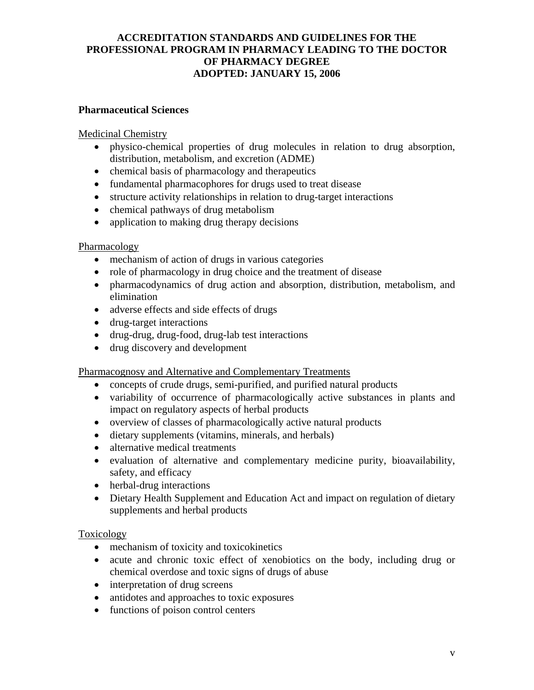### **Pharmaceutical Sciences**

### Medicinal Chemistry

- physico-chemical properties of drug molecules in relation to drug absorption, distribution, metabolism, and excretion (ADME)
- chemical basis of pharmacology and therapeutics
- fundamental pharmacophores for drugs used to treat disease
- structure activity relationships in relation to drug-target interactions
- chemical pathways of drug metabolism
- application to making drug therapy decisions

### Pharmacology

- mechanism of action of drugs in various categories
- role of pharmacology in drug choice and the treatment of disease
- pharmacodynamics of drug action and absorption, distribution, metabolism, and elimination
- adverse effects and side effects of drugs
- drug-target interactions
- drug-drug, drug-food, drug-lab test interactions
- drug discovery and development

Pharmacognosy and Alternative and Complementary Treatments

- concepts of crude drugs, semi-purified, and purified natural products
- variability of occurrence of pharmacologically active substances in plants and impact on regulatory aspects of herbal products
- overview of classes of pharmacologically active natural products
- dietary supplements (vitamins, minerals, and herbals)
- alternative medical treatments
- evaluation of alternative and complementary medicine purity, bioavailability, safety, and efficacy
- herbal-drug interactions
- Dietary Health Supplement and Education Act and impact on regulation of dietary supplements and herbal products

### Toxicology

- mechanism of toxicity and toxicokinetics
- acute and chronic toxic effect of xenobiotics on the body, including drug or chemical overdose and toxic signs of drugs of abuse
- interpretation of drug screens
- antidotes and approaches to toxic exposures
- functions of poison control centers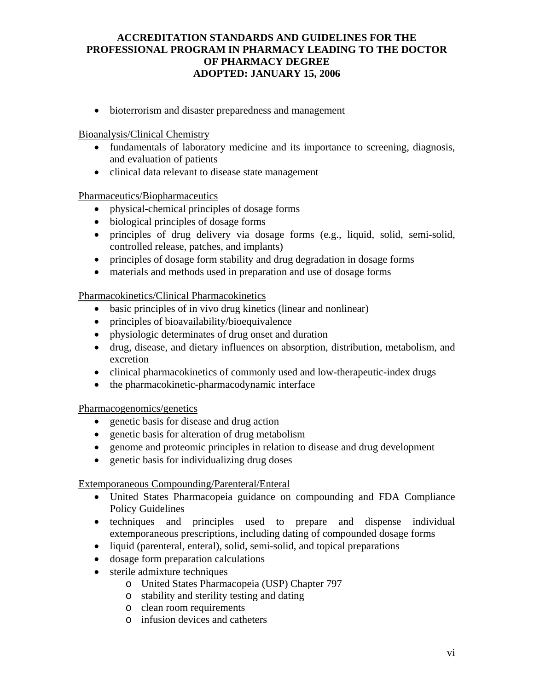• bioterrorism and disaster preparedness and management

Bioanalysis/Clinical Chemistry

- fundamentals of laboratory medicine and its importance to screening, diagnosis, and evaluation of patients
- clinical data relevant to disease state management

### Pharmaceutics/Biopharmaceutics

- physical-chemical principles of dosage forms
- biological principles of dosage forms
- principles of drug delivery via dosage forms (e.g., liquid, solid, semi-solid, controlled release, patches, and implants)
- principles of dosage form stability and drug degradation in dosage forms
- materials and methods used in preparation and use of dosage forms

### Pharmacokinetics/Clinical Pharmacokinetics

- basic principles of in vivo drug kinetics (linear and nonlinear)
- principles of bioavailability/bioequivalence
- physiologic determinates of drug onset and duration
- drug, disease, and dietary influences on absorption, distribution, metabolism, and excretion
- clinical pharmacokinetics of commonly used and low-therapeutic-index drugs
- the pharmacokinetic-pharmacodynamic interface

Pharmacogenomics/genetics

- genetic basis for disease and drug action
- genetic basis for alteration of drug metabolism
- genome and proteomic principles in relation to disease and drug development
- genetic basis for individualizing drug doses

# Extemporaneous Compounding/Parenteral/Enteral

- United States Pharmacopeia guidance on compounding and FDA Compliance Policy Guidelines
- techniques and principles used to prepare and dispense individual extemporaneous prescriptions, including dating of compounded dosage forms
- liquid (parenteral, enteral), solid, semi-solid, and topical preparations
- dosage form preparation calculations
- sterile admixture techniques
	- o United States Pharmacopeia (USP) Chapter 797
	- o stability and sterility testing and dating
	- o clean room requirements
	- o infusion devices and catheters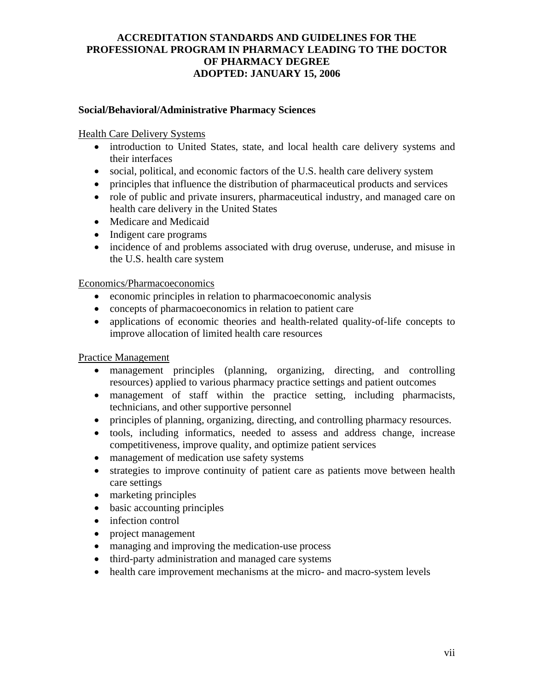### **Social/Behavioral/Administrative Pharmacy Sciences**

### Health Care Delivery Systems

- introduction to United States, state, and local health care delivery systems and their interfaces
- social, political, and economic factors of the U.S. health care delivery system
- principles that influence the distribution of pharmaceutical products and services
- role of public and private insurers, pharmaceutical industry, and managed care on health care delivery in the United States
- Medicare and Medicaid
- Indigent care programs
- incidence of and problems associated with drug overuse, underuse, and misuse in the U.S. health care system

### Economics/Pharmacoeconomics

- economic principles in relation to pharmacoeconomic analysis
- concepts of pharmacoeconomics in relation to patient care
- applications of economic theories and health-related quality-of-life concepts to improve allocation of limited health care resources

### Practice Management

- management principles (planning, organizing, directing, and controlling resources) applied to various pharmacy practice settings and patient outcomes
- management of staff within the practice setting, including pharmacists, technicians, and other supportive personnel
- principles of planning, organizing, directing, and controlling pharmacy resources.
- tools, including informatics, needed to assess and address change, increase competitiveness, improve quality, and optimize patient services
- management of medication use safety systems
- strategies to improve continuity of patient care as patients move between health care settings
- marketing principles
- basic accounting principles
- infection control
- project management
- managing and improving the medication-use process
- third-party administration and managed care systems
- health care improvement mechanisms at the micro- and macro-system levels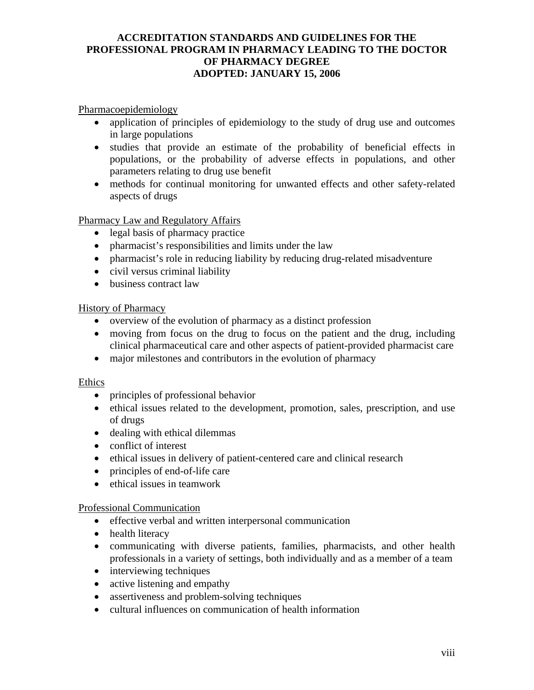Pharmacoepidemiology

- application of principles of epidemiology to the study of drug use and outcomes in large populations
- studies that provide an estimate of the probability of beneficial effects in populations, or the probability of adverse effects in populations, and other parameters relating to drug use benefit
- methods for continual monitoring for unwanted effects and other safety-related aspects of drugs

Pharmacy Law and Regulatory Affairs

- legal basis of pharmacy practice
- pharmacist's responsibilities and limits under the law
- pharmacist's role in reducing liability by reducing drug-related misadventure
- civil versus criminal liability
- business contract law

History of Pharmacy

- overview of the evolution of pharmacy as a distinct profession
- moving from focus on the drug to focus on the patient and the drug, including clinical pharmaceutical care and other aspects of patient-provided pharmacist care
- major milestones and contributors in the evolution of pharmacy

### Ethics

- principles of professional behavior
- ethical issues related to the development, promotion, sales, prescription, and use of drugs
- dealing with ethical dilemmas
- conflict of interest
- ethical issues in delivery of patient-centered care and clinical research
- principles of end-of-life care
- ethical issues in teamwork

### Professional Communication

- effective verbal and written interpersonal communication
- health literacy
- communicating with diverse patients, families, pharmacists, and other health professionals in a variety of settings, both individually and as a member of a team
- interviewing techniques
- active listening and empathy
- assertiveness and problem-solving techniques
- cultural influences on communication of health information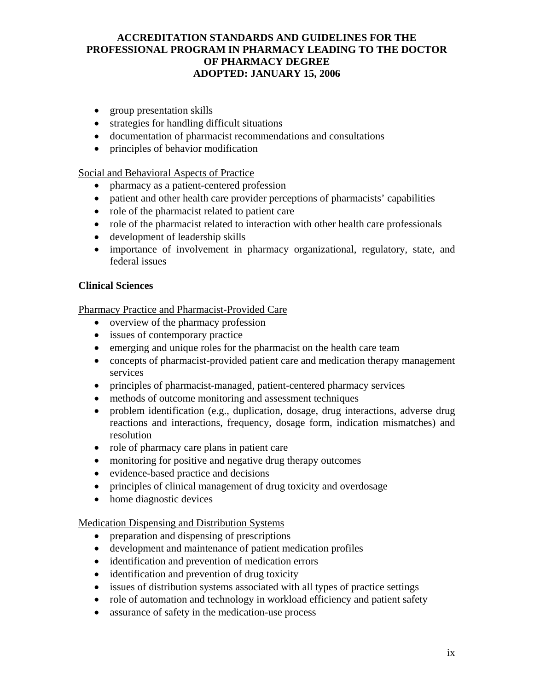- group presentation skills
- strategies for handling difficult situations
- documentation of pharmacist recommendations and consultations
- principles of behavior modification

Social and Behavioral Aspects of Practice

- pharmacy as a patient-centered profession
- patient and other health care provider perceptions of pharmacists' capabilities
- role of the pharmacist related to patient care
- role of the pharmacist related to interaction with other health care professionals
- development of leadership skills
- importance of involvement in pharmacy organizational, regulatory, state, and federal issues

### **Clinical Sciences**

Pharmacy Practice and Pharmacist-Provided Care

- overview of the pharmacy profession
- issues of contemporary practice
- emerging and unique roles for the pharmacist on the health care team
- concepts of pharmacist-provided patient care and medication therapy management services
- principles of pharmacist-managed, patient-centered pharmacy services
- methods of outcome monitoring and assessment techniques
- problem identification (e.g., duplication, dosage, drug interactions, adverse drug reactions and interactions, frequency, dosage form, indication mismatches) and resolution
- role of pharmacy care plans in patient care
- monitoring for positive and negative drug therapy outcomes
- evidence-based practice and decisions
- principles of clinical management of drug toxicity and overdosage
- home diagnostic devices

### Medication Dispensing and Distribution Systems

- preparation and dispensing of prescriptions
- development and maintenance of patient medication profiles
- identification and prevention of medication errors
- identification and prevention of drug toxicity
- issues of distribution systems associated with all types of practice settings
- role of automation and technology in workload efficiency and patient safety
- assurance of safety in the medication-use process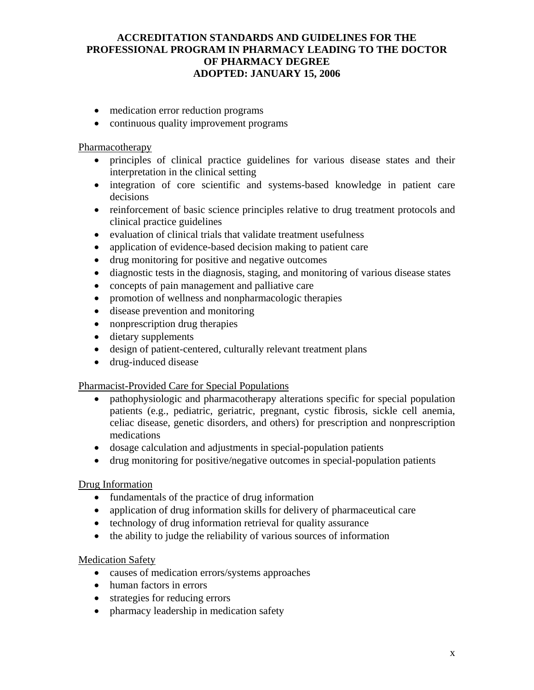- medication error reduction programs
- continuous quality improvement programs

#### Pharmacotherapy

- principles of clinical practice guidelines for various disease states and their interpretation in the clinical setting
- integration of core scientific and systems-based knowledge in patient care decisions
- reinforcement of basic science principles relative to drug treatment protocols and clinical practice guidelines
- evaluation of clinical trials that validate treatment usefulness
- application of evidence-based decision making to patient care
- drug monitoring for positive and negative outcomes
- diagnostic tests in the diagnosis, staging, and monitoring of various disease states
- concepts of pain management and palliative care
- promotion of wellness and nonpharmacologic therapies
- disease prevention and monitoring
- nonprescription drug therapies
- dietary supplements
- design of patient-centered, culturally relevant treatment plans
- drug-induced disease

### Pharmacist-Provided Care for Special Populations

- pathophysiologic and pharmacotherapy alterations specific for special population patients (e.g., pediatric, geriatric, pregnant, cystic fibrosis, sickle cell anemia, celiac disease, genetic disorders, and others) for prescription and nonprescription medications
- dosage calculation and adjustments in special-population patients
- drug monitoring for positive/negative outcomes in special-population patients

### Drug Information

- fundamentals of the practice of drug information
- application of drug information skills for delivery of pharmaceutical care
- technology of drug information retrieval for quality assurance
- the ability to judge the reliability of various sources of information

### **Medication Safety**

- causes of medication errors/systems approaches
- human factors in errors
- strategies for reducing errors
- pharmacy leadership in medication safety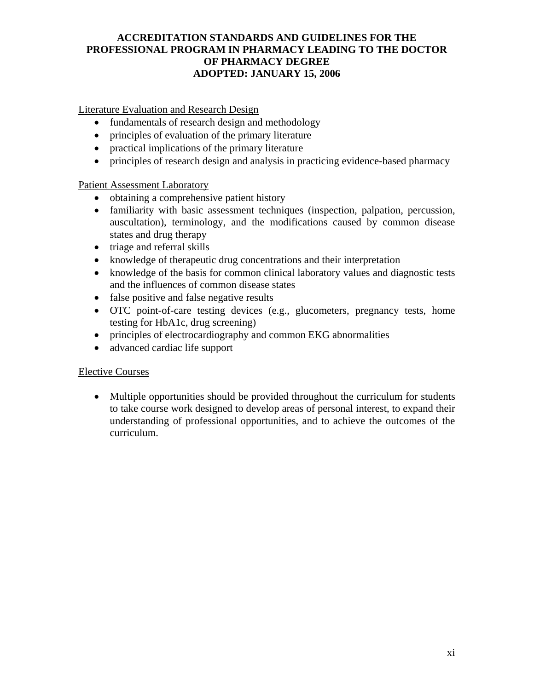Literature Evaluation and Research Design

- fundamentals of research design and methodology
- principles of evaluation of the primary literature
- practical implications of the primary literature
- principles of research design and analysis in practicing evidence-based pharmacy

# Patient Assessment Laboratory

- obtaining a comprehensive patient history
- familiarity with basic assessment techniques (inspection, palpation, percussion, auscultation), terminology, and the modifications caused by common disease states and drug therapy
- triage and referral skills
- knowledge of therapeutic drug concentrations and their interpretation
- knowledge of the basis for common clinical laboratory values and diagnostic tests and the influences of common disease states
- false positive and false negative results
- OTC point-of-care testing devices (e.g., glucometers, pregnancy tests, home testing for HbA1c, drug screening)
- principles of electrocardiography and common EKG abnormalities
- advanced cardiac life support

# Elective Courses

• Multiple opportunities should be provided throughout the curriculum for students to take course work designed to develop areas of personal interest, to expand their understanding of professional opportunities, and to achieve the outcomes of the curriculum.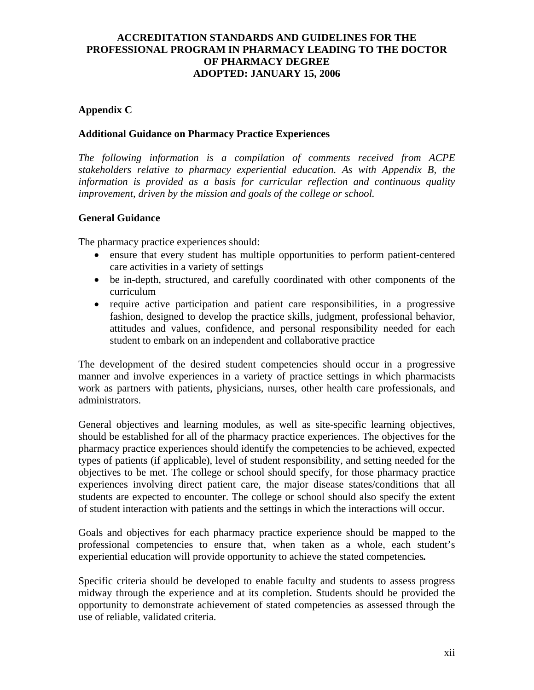# **Appendix C**

### **Additional Guidance on Pharmacy Practice Experiences**

*The following information is a compilation of comments received from ACPE stakeholders relative to pharmacy experiential education. As with Appendix B, the information is provided as a basis for curricular reflection and continuous quality improvement, driven by the mission and goals of the college or school.* 

### **General Guidance**

The pharmacy practice experiences should:

- ensure that every student has multiple opportunities to perform patient-centered care activities in a variety of settings
- be in-depth, structured, and carefully coordinated with other components of the curriculum
- require active participation and patient care responsibilities, in a progressive fashion, designed to develop the practice skills, judgment, professional behavior, attitudes and values, confidence, and personal responsibility needed for each student to embark on an independent and collaborative practice

The development of the desired student competencies should occur in a progressive manner and involve experiences in a variety of practice settings in which pharmacists work as partners with patients, physicians, nurses, other health care professionals, and administrators.

General objectives and learning modules, as well as site-specific learning objectives, should be established for all of the pharmacy practice experiences. The objectives for the pharmacy practice experiences should identify the competencies to be achieved, expected types of patients (if applicable), level of student responsibility, and setting needed for the objectives to be met. The college or school should specify, for those pharmacy practice experiences involving direct patient care, the major disease states/conditions that all students are expected to encounter. The college or school should also specify the extent of student interaction with patients and the settings in which the interactions will occur.

Goals and objectives for each pharmacy practice experience should be mapped to the professional competencies to ensure that, when taken as a whole, each student's experiential education will provide opportunity to achieve the stated competencies*.*

Specific criteria should be developed to enable faculty and students to assess progress midway through the experience and at its completion. Students should be provided the opportunity to demonstrate achievement of stated competencies as assessed through the use of reliable, validated criteria.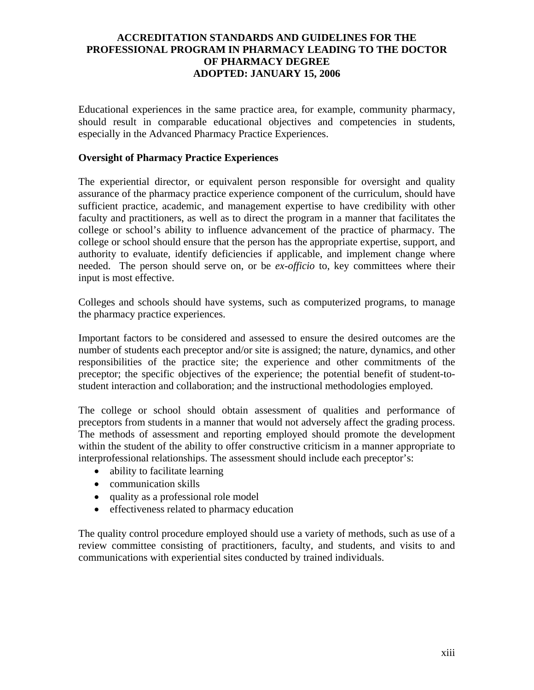Educational experiences in the same practice area, for example, community pharmacy, should result in comparable educational objectives and competencies in students, especially in the Advanced Pharmacy Practice Experiences.

### **Oversight of Pharmacy Practice Experiences**

The experiential director, or equivalent person responsible for oversight and quality assurance of the pharmacy practice experience component of the curriculum, should have sufficient practice, academic, and management expertise to have credibility with other faculty and practitioners, as well as to direct the program in a manner that facilitates the college or school's ability to influence advancement of the practice of pharmacy. The college or school should ensure that the person has the appropriate expertise, support, and authority to evaluate, identify deficiencies if applicable, and implement change where needed. The person should serve on, or be *ex-officio* to, key committees where their input is most effective.

Colleges and schools should have systems, such as computerized programs, to manage the pharmacy practice experiences.

Important factors to be considered and assessed to ensure the desired outcomes are the number of students each preceptor and/or site is assigned; the nature, dynamics, and other responsibilities of the practice site; the experience and other commitments of the preceptor; the specific objectives of the experience; the potential benefit of student-tostudent interaction and collaboration; and the instructional methodologies employed.

The college or school should obtain assessment of qualities and performance of preceptors from students in a manner that would not adversely affect the grading process. The methods of assessment and reporting employed should promote the development within the student of the ability to offer constructive criticism in a manner appropriate to interprofessional relationships. The assessment should include each preceptor's:

- ability to facilitate learning
- communication skills
- quality as a professional role model
- effectiveness related to pharmacy education

The quality control procedure employed should use a variety of methods, such as use of a review committee consisting of practitioners, faculty, and students, and visits to and communications with experiential sites conducted by trained individuals.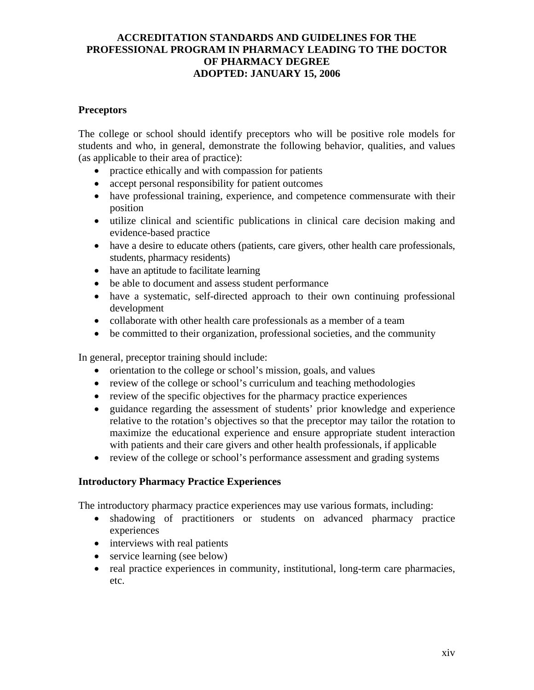### **Preceptors**

The college or school should identify preceptors who will be positive role models for students and who, in general, demonstrate the following behavior, qualities, and values (as applicable to their area of practice):

- practice ethically and with compassion for patients
- accept personal responsibility for patient outcomes
- have professional training, experience, and competence commensurate with their position
- utilize clinical and scientific publications in clinical care decision making and evidence-based practice
- have a desire to educate others (patients, care givers, other health care professionals, students, pharmacy residents)
- have an aptitude to facilitate learning
- be able to document and assess student performance
- have a systematic, self-directed approach to their own continuing professional development
- collaborate with other health care professionals as a member of a team
- be committed to their organization, professional societies, and the community

In general, preceptor training should include:

- orientation to the college or school's mission, goals, and values
- review of the college or school's curriculum and teaching methodologies
- review of the specific objectives for the pharmacy practice experiences
- guidance regarding the assessment of students' prior knowledge and experience relative to the rotation's objectives so that the preceptor may tailor the rotation to maximize the educational experience and ensure appropriate student interaction with patients and their care givers and other health professionals, if applicable
- review of the college or school's performance assessment and grading systems

### **Introductory Pharmacy Practice Experiences**

The introductory pharmacy practice experiences may use various formats, including:

- shadowing of practitioners or students on advanced pharmacy practice experiences
- interviews with real patients
- service learning (see below)
- real practice experiences in community, institutional, long-term care pharmacies, etc.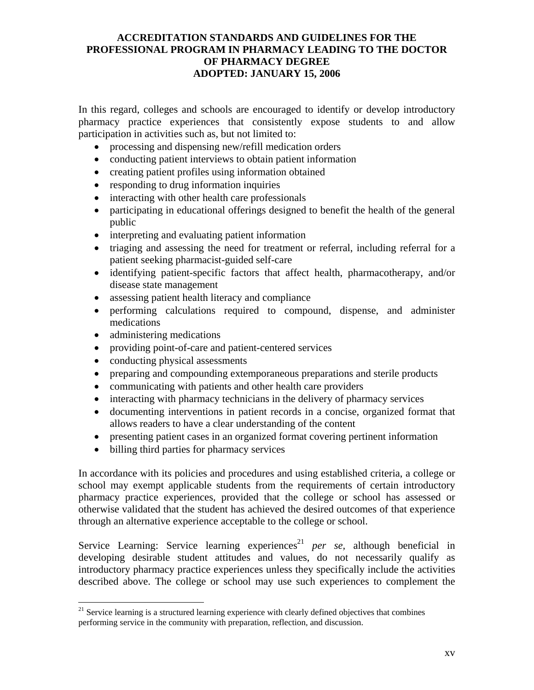In this regard, colleges and schools are encouraged to identify or develop introductory pharmacy practice experiences that consistently expose students to and allow participation in activities such as, but not limited to:

- processing and dispensing new/refill medication orders
- conducting patient interviews to obtain patient information
- creating patient profiles using information obtained
- responding to drug information inquiries
- interacting with other health care professionals
- participating in educational offerings designed to benefit the health of the general public
- interpreting and evaluating patient information
- triaging and assessing the need for treatment or referral, including referral for a patient seeking pharmacist-guided self-care
- identifying patient-specific factors that affect health, pharmacotherapy, and/or disease state management
- assessing patient health literacy and compliance
- performing calculations required to compound, dispense, and administer medications
- administering medications

 $\overline{a}$ 

- providing point-of-care and patient-centered services
- conducting physical assessments
- preparing and compounding extemporaneous preparations and sterile products
- communicating with patients and other health care providers
- interacting with pharmacy technicians in the delivery of pharmacy services
- documenting interventions in patient records in a concise, organized format that allows readers to have a clear understanding of the content
- presenting patient cases in an organized format covering pertinent information
- billing third parties for pharmacy services

In accordance with its policies and procedures and using established criteria, a college or school may exempt applicable students from the requirements of certain introductory pharmacy practice experiences, provided that the college or school has assessed or otherwise validated that the student has achieved the desired outcomes of that experience through an alternative experience acceptable to the college or school.

Service Learning: Service learning experiences<sup>21</sup> per se, although beneficial in developing desirable student attitudes and values, do not necessarily qualify as introductory pharmacy practice experiences unless they specifically include the activities described above. The college or school may use such experiences to complement the

 $21$  Service learning is a structured learning experience with clearly defined objectives that combines performing service in the community with preparation, reflection, and discussion.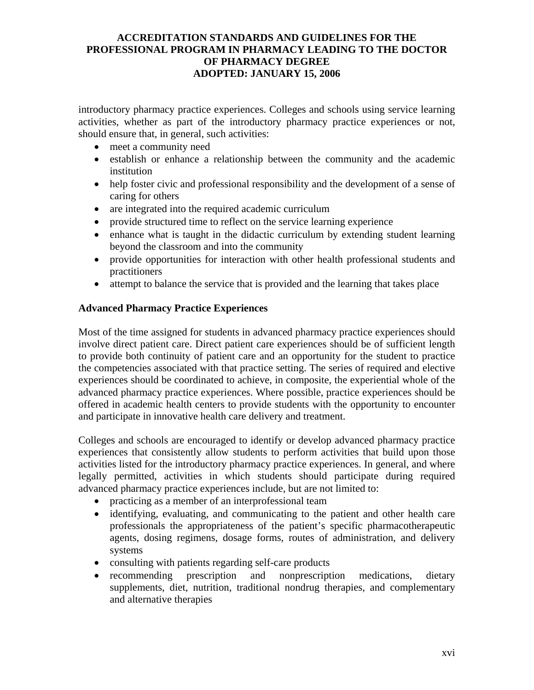introductory pharmacy practice experiences. Colleges and schools using service learning activities, whether as part of the introductory pharmacy practice experiences or not, should ensure that, in general, such activities:

- meet a community need
- establish or enhance a relationship between the community and the academic institution
- help foster civic and professional responsibility and the development of a sense of caring for others
- are integrated into the required academic curriculum
- provide structured time to reflect on the service learning experience
- enhance what is taught in the didactic curriculum by extending student learning beyond the classroom and into the community
- provide opportunities for interaction with other health professional students and practitioners
- attempt to balance the service that is provided and the learning that takes place

### **Advanced Pharmacy Practice Experiences**

Most of the time assigned for students in advanced pharmacy practice experiences should involve direct patient care. Direct patient care experiences should be of sufficient length to provide both continuity of patient care and an opportunity for the student to practice the competencies associated with that practice setting. The series of required and elective experiences should be coordinated to achieve, in composite, the experiential whole of the advanced pharmacy practice experiences. Where possible, practice experiences should be offered in academic health centers to provide students with the opportunity to encounter and participate in innovative health care delivery and treatment.

Colleges and schools are encouraged to identify or develop advanced pharmacy practice experiences that consistently allow students to perform activities that build upon those activities listed for the introductory pharmacy practice experiences. In general, and where legally permitted, activities in which students should participate during required advanced pharmacy practice experiences include, but are not limited to:

- practicing as a member of an interprofessional team
- identifying, evaluating, and communicating to the patient and other health care professionals the appropriateness of the patient's specific pharmacotherapeutic agents, dosing regimens, dosage forms, routes of administration, and delivery systems
- consulting with patients regarding self-care products
- recommending prescription and nonprescription medications, dietary supplements, diet, nutrition, traditional nondrug therapies, and complementary and alternative therapies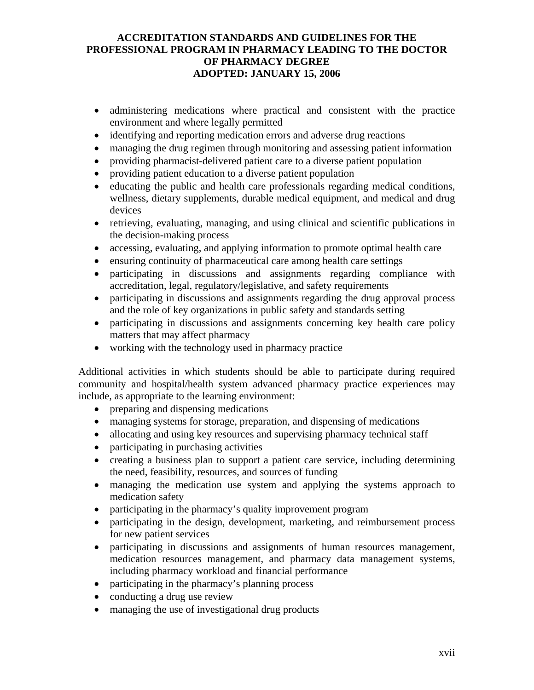## **ACCREDITATION STANDARDS AND GUIDELINES FOR THE PROFESSIONAL PROGRAM IN PHARMACY LEADING TO THE DOCTOR OF PHARMACY DEGREE ADOPTED: JANUARY 15, 2006**

- administering medications where practical and consistent with the practice environment and where legally permitted
- identifying and reporting medication errors and adverse drug reactions
- managing the drug regimen through monitoring and assessing patient information
- providing pharmacist-delivered patient care to a diverse patient population
- providing patient education to a diverse patient population
- educating the public and health care professionals regarding medical conditions, wellness, dietary supplements, durable medical equipment, and medical and drug devices
- retrieving, evaluating, managing, and using clinical and scientific publications in the decision-making process
- accessing, evaluating, and applying information to promote optimal health care
- ensuring continuity of pharmaceutical care among health care settings
- participating in discussions and assignments regarding compliance with accreditation, legal, regulatory/legislative, and safety requirements
- participating in discussions and assignments regarding the drug approval process and the role of key organizations in public safety and standards setting
- participating in discussions and assignments concerning key health care policy matters that may affect pharmacy
- working with the technology used in pharmacy practice

Additional activities in which students should be able to participate during required community and hospital/health system advanced pharmacy practice experiences may include, as appropriate to the learning environment:

- preparing and dispensing medications
- managing systems for storage, preparation, and dispensing of medications
- allocating and using key resources and supervising pharmacy technical staff
- participating in purchasing activities
- creating a business plan to support a patient care service, including determining the need, feasibility, resources, and sources of funding
- managing the medication use system and applying the systems approach to medication safety
- participating in the pharmacy's quality improvement program
- participating in the design, development, marketing, and reimbursement process for new patient services
- participating in discussions and assignments of human resources management, medication resources management, and pharmacy data management systems, including pharmacy workload and financial performance
- participating in the pharmacy's planning process
- conducting a drug use review
- managing the use of investigational drug products